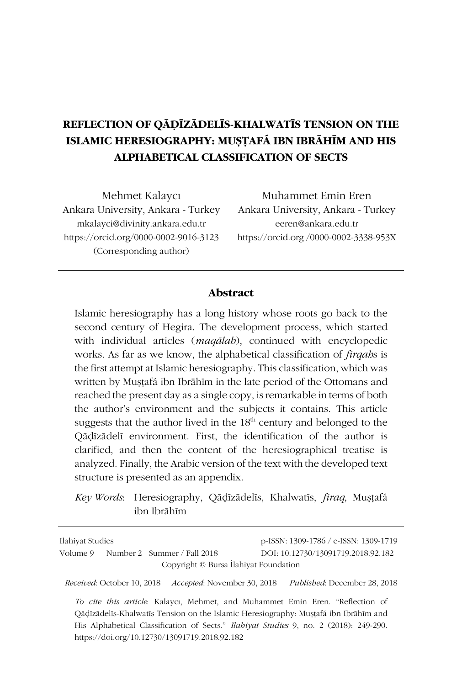# **REFLECTION OF QĀḌĪZĀDELĪS-KHALWATĪS TENSION ON THE ISLAMIC HERESIOGRAPHY: MUṢṬAFÁ IBN IBRĀHĪM AND HIS ALPHABETICAL CLASSIFICATION OF SECTS**

Mehmet Kalaycı Ankara University, Ankara - Turkey mkalayci@divinity.ankara.edu.tr https://orcid.org/0000-0002-9016-3123 (Corresponding author)

Muhammet Emin Eren Ankara University, Ankara - Turkey eeren@ankara.edu.tr https://orcid.org /0000-0002-3338-953X

### **Abstract**

Islamic heresiography has a long history whose roots go back to the second century of Hegira. The development process, which started with individual articles (*maqālah*), continued with encyclopedic works. As far as we know, the alphabetical classification of *firqah*s is the first attempt at Islamic heresiography. This classification, which was written by Muṣṭafá ibn Ibrāhīm in the late period of the Ottomans and reached the present day as a single copy, is remarkable in terms of both the author's environment and the subjects it contains. This article suggests that the author lived in the  $18<sup>th</sup>$  century and belonged to the Qāḍīzādelī environment. First, the identification of the author is clarified, and then the content of the heresiographical treatise is analyzed. Finally, the Arabic version of the text with the developed text structure is presented as an appendix.

*Key Words*: Heresiography, Qāḍīzādelīs, Khalwatīs, *firaq*, Muṣṭafá ibn Ibrāhīm

| Ilahiyat Studies                      |  |                                      | p-ISSN: 1309-1786 / e-ISSN: 1309-1719 |
|---------------------------------------|--|--------------------------------------|---------------------------------------|
|                                       |  | Volume 9 Number 2 Summer / Fall 2018 | DOI: 10.12730/13091719.2018.92.182    |
| Copyright © Bursa Ilahiyat Foundation |  |                                      |                                       |

*Received*: October 10, 2018 *Accepted*: November 30, 2018 *Published*: December 28, 2018

*To cite this article*: Kalaycı, Mehmet, and Muhammet Emin Eren. "Reflection of Qāḍīzādelīs-Khalwatīs Tension on the Islamic Heresiography: Muṣṭafá ibn Ibrāhīm and His Alphabetical Classification of Sects." *Ilahiyat Studies* 9, no. 2 (2018): 249-290. https://doi.org/10.12730/13091719.2018.92.182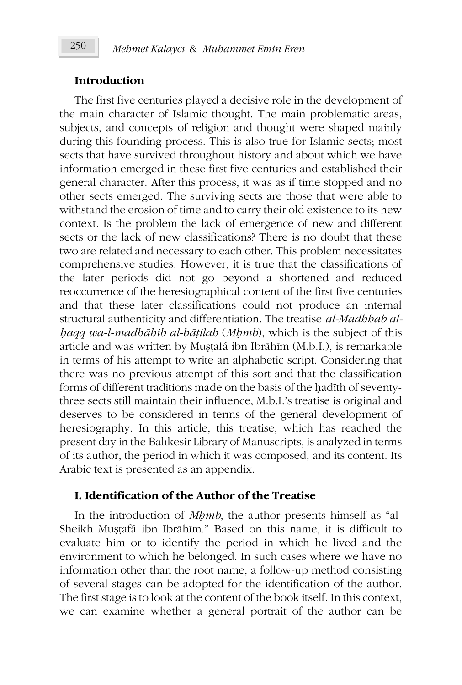#### **Introduction**

The first five centuries played a decisive role in the development of the main character of Islamic thought. The main problematic areas, subjects, and concepts of religion and thought were shaped mainly during this founding process. This is also true for Islamic sects; most sects that have survived throughout history and about which we have information emerged in these first five centuries and established their general character. After this process, it was as if time stopped and no other sects emerged. The surviving sects are those that were able to withstand the erosion of time and to carry their old existence to its new context. Is the problem the lack of emergence of new and different sects or the lack of new classifications? There is no doubt that these two are related and necessary to each other. This problem necessitates comprehensive studies. However, it is true that the classifications of the later periods did not go beyond a shortened and reduced reoccurrence of the heresiographical content of the first five centuries and that these later classifications could not produce an internal structural authenticity and differentiation. The treatise *al-Madhhab alḥaqq wa-l-madhāhib al-bāṭilah* (*Mḥmb*), which is the subject of this article and was written by Muṣṭafá ibn Ibrāhīm (M.b.I.), is remarkable in terms of his attempt to write an alphabetic script. Considering that there was no previous attempt of this sort and that the classification forms of different traditions made on the basis of the ḥadīth of seventythree sects still maintain their influence, M.b.I.'s treatise is original and deserves to be considered in terms of the general development of heresiography. In this article, this treatise, which has reached the present day in the Balıkesir Library of Manuscripts, is analyzed in terms of its author, the period in which it was composed, and its content. Its Arabic text is presented as an appendix.

### **I. Identification of the Author of the Treatise**

In the introduction of *Mḥmb*, the author presents himself as "al-Sheikh Muṣṭafá ibn Ibrāhīm." Based on this name, it is difficult to evaluate him or to identify the period in which he lived and the environment to which he belonged. In such cases where we have no information other than the root name, a follow-up method consisting of several stages can be adopted for the identification of the author. The first stage is to look at the content of the book itself. In this context, we can examine whether a general portrait of the author can be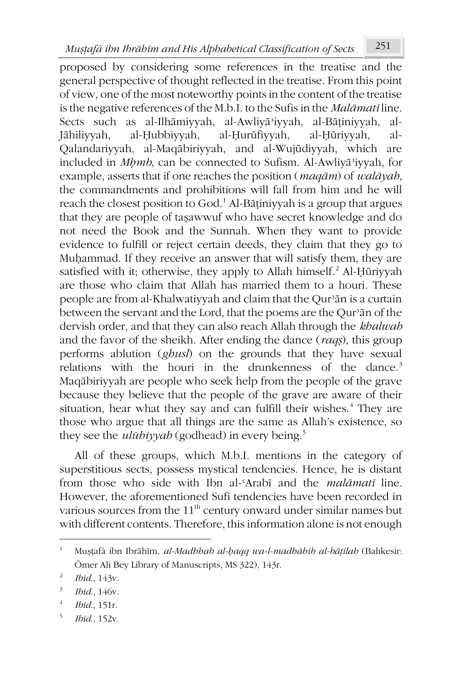proposed by considering some references in the treatise and the general perspective of thought reflected in the treatise. From this point of view, one of the most noteworthy points in the content of the treatise is the negative references of the M.b.I. to the Sufis in the *Malāmatī* line. Sects such as al-Ilhāmiyyah, al-Awliyāʾiyyah, al-Bāṭiniyyah, al-Jāhiliyyah, al-Ḥubbiyyah, al-Ḥurūfiyyah, al-Ḥūriyyah, al-Qalandariyyah, al-Maqābiriyyah, and al-Wujūdiyyah, which are included in *Mḥmb*, can be connected to Sufism. Al-Awliyāʾiyyah, for example, asserts that if one reaches the position (*maqām*) of *walāyah*, the commandments and prohibitions will fall from him and he will reach the closest position to God.<sup>1</sup> Al-Bāṭiniyyah is a group that argues that they are people of taṣawwuf who have secret knowledge and do not need the Book and the Sunnah. When they want to provide evidence to fulfill or reject certain deeds, they claim that they go to Muḥammad. If they receive an answer that will satisfy them, they are satisfied with it; otherwise, they apply to Allah himself.<sup>2</sup> Al-Ḥūriyyah are those who claim that Allah has married them to a houri. These people are from al-Khalwatiyyah and claim that the Qurʾān is a curtain between the servant and the Lord, that the poems are the Qurʾān of the dervish order, and that they can also reach Allah through the *khalwah* and the favor of the sheikh. After ending the dance (*raqṣ*), this group performs ablution (*ghusl*) on the grounds that they have sexual relations with the houri in the drunkenness of the dance.<sup>3</sup> Maqābiriyyah are people who seek help from the people of the grave because they believe that the people of the grave are aware of their situation, hear what they say and can fulfill their wishes. $^4$  They are those who argue that all things are the same as Allah's existence, so they see the *ulūhiyyah* (godhead) in every being.<sup>5</sup>

All of these groups, which M.b.I. mentions in the category of superstitious sects, possess mystical tendencies. Hence, he is distant from those who side with Ibn al-ʿArabī and the *malāmatī* line. However, the aforementioned Sufi tendencies have been recorded in various sources from the  $11<sup>th</sup>$  century onward under similar names but with different contents. Therefore, this information alone is not enough

<sup>1</sup> Muṣṭafá ibn Ibrāhīm, *al-Madhhab al-ḥaqq wa-l-madhāhib al-bāṭilah* (Balıkesir: Ömer Ali Bey Library of Manuscripts, MS 322), 143r.

<sup>2</sup> *Ibid*., 143v.

<sup>3</sup> *Ibid*., 146v.

<sup>4</sup> *Ibid*., 151r.

<sup>5</sup> *Ibid*., 152v.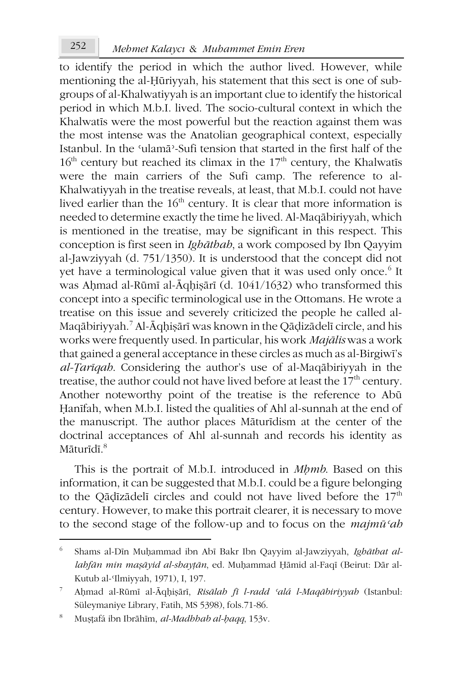# *Mehmet Kalayc* 252 *ı* & *Muhammet Emin Eren*

to identify the period in which the author lived. However, while mentioning the al-Ḥūriyyah, his statement that this sect is one of subgroups of al-Khalwatiyyah is an important clue to identify the historical period in which M.b.I. lived. The socio-cultural context in which the Khalwatīs were the most powerful but the reaction against them was the most intense was the Anatolian geographical context, especially Istanbul. In the ʿulamāʾ-Sufi tension that started in the first half of the  $16<sup>th</sup>$  century but reached its climax in the  $17<sup>th</sup>$  century, the Khalwatīs were the main carriers of the Sufi camp. The reference to al-Khalwatiyyah in the treatise reveals, at least, that M.b.I. could not have lived earlier than the  $16<sup>th</sup>$  century. It is clear that more information is needed to determine exactly the time he lived. Al-Maqābiriyyah, which is mentioned in the treatise, may be significant in this respect. This conception is first seen in *Ighāthah*, a work composed by Ibn Qayyim al-Jawziyyah (d. 751/1350). It is understood that the concept did not yet have a terminological value given that it was used only once. $^6$  It was Aḥmad al-Rūmī al-Āqḥiṣārī (d. 1041/1632) who transformed this concept into a specific terminological use in the Ottomans. He wrote a treatise on this issue and severely criticized the people he called al-Maqābiriyyah.<sup>7</sup> Al-Āqḥiṣārī was known in the Qāḍizādelī circle, and his works were frequently used. In particular, his work *Majālis* was a work that gained a general acceptance in these circles as much as al-Birgiwī's *al-Ṭarīqah*. Considering the author's use of al-Maqābiriyyah in the treatise, the author could not have lived before at least the  $17<sup>th</sup>$  century. Another noteworthy point of the treatise is the reference to Abū Ḥanīfah, when M.b.I. listed the qualities of Ahl al-sunnah at the end of the manuscript. The author places Māturīdism at the center of the doctrinal acceptances of Ahl al-sunnah and records his identity as Māturīdī.<sup>8</sup>

This is the portrait of M.b.I. introduced in *Mḥmb*. Based on this information, it can be suggested that M.b.I. could be a figure belonging to the Qāḍīzādelī circles and could not have lived before the  $17<sup>th</sup>$ century. However, to make this portrait clearer, it is necessary to move to the second stage of the follow-up and to focus on the *majmūʿah*

<sup>6</sup> Shams al-Dīn Muḥammad ibn Abī Bakr Ibn Qayyim al-Jawziyyah, *Ighāthat allahfān min maṣāyid al-shayṭān*, ed. Muḥammad Ḥāmid al-Faqī (Beirut: Dār al-Kutub al-ʿIlmiyyah, 1971), I, 197.

<sup>7</sup> Aḥmad al-Rūmī al-Āqḥiṣārī, *Risālah fī l-radd ʿalá l-Maqābiriyyah* (Istanbul: Süleymaniye Library, Fatih, MS 5398), fols.71-86.

<sup>8</sup> Muṣṭafá ibn Ibrāhīm, *al-Madhhab al-ḥaqq*, 153v.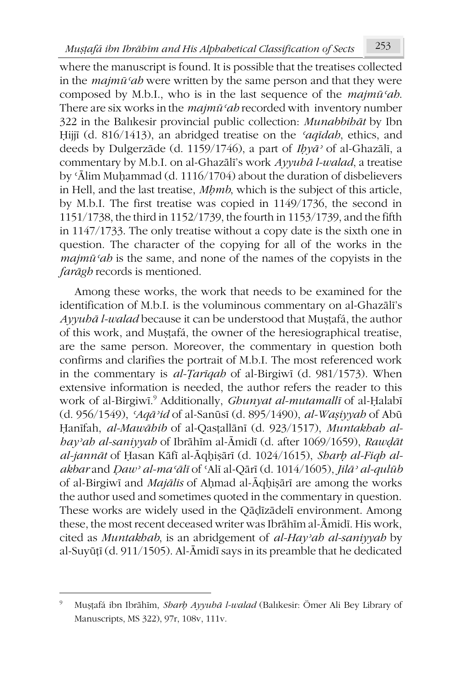where the manuscript is found. It is possible that the treatises collected in the *majmūʿah* were written by the same person and that they were composed by M.b.I., who is in the last sequence of the *majmūʿah*. There are six works in the *majmūʿah* recorded with inventory number 322 in the Balıkesir provincial public collection: *Munabbihāt* by Ibn Ḥijjī (d. 816/1413), an abridged treatise on the *ʿaqīdah*, ethics, and deeds by Dulgerzāde (d. 1159/1746), a part of *Iḥyāʾ* of al-Ghazālī, a commentary by M.b.I. on al-Ghazālī's work *Ayyuhā l-walad*, a treatise by ʿĀlim Muḥammad (d. 1116/1704) about the duration of disbelievers in Hell, and the last treatise, *Mbmb*, which is the subject of this article, by M.b.I. The first treatise was copied in 1149/1736, the second in 1151/1738, the third in 1152/1739, the fourth in 1153/1739, and the fifth in 1147/1733. The only treatise without a copy date is the sixth one in question. The character of the copying for all of the works in the *majmūʿah* is the same, and none of the names of the copyists in the *farāgh* records is mentioned.

Among these works, the work that needs to be examined for the identification of M.b.I. is the voluminous commentary on al-Ghazālī's *Ayyuhā l-walad* because it can be understood that Muṣṭafá, the author of this work, and Muṣṭafá, the owner of the heresiographical treatise, are the same person. Moreover, the commentary in question both confirms and clarifies the portrait of M.b.I. The most referenced work in the commentary is *al-Ṭarīqah* of al-Birgiwī (d. 981/1573). When extensive information is needed, the author refers the reader to this work of al-Birgiwī. 9 Additionally, *Ghunyat al-mutamallī* of al-Ḥalabī (d. 956/1549), *ʿAqāʾid* of al-Sanūsī (d. 895/1490), *al-Waṣiyyah* of Abū Ḥanīfah, *al-Mawāhib* of al-Qasṭallānī (d. 923/1517), *Muntakhab alhayʾah al-saniyyah* of Ibrāhīm al-Āmidī (d. after 1069/1659), *Rawḍāt al-jannāt* of Ḥasan Kāfī al-Āqḥiṣārī (d. 1024/1615), *Sharḥ al-Fiqh alakbar* and *Ḍawʾ al-maʿālī* of ʿAlī al-Qārī (d. 1014/1605), *Jilāʾ al-qulūb* of al-Birgiwī and *Majālis* of Aḥmad al-Āqḥiṣārī are among the works the author used and sometimes quoted in the commentary in question. These works are widely used in the Qāḍīzādelī environment. Among these, the most recent deceased writer was Ibrāhīm al-Āmidī. His work, cited as *Muntakhab*, is an abridgement of *al-Hayʾah al-saniyyah* by al-Suyūṭī (d. 911/1505). Al-Āmidī says in its preamble that he dedicated

<sup>9</sup> Muṣṭafá ibn Ibrāhīm, *Sharḥ Ayyuhā l-walad* (Balıkesir: Ömer Ali Bey Library of Manuscripts, MS 322), 97r, 108v, 111v.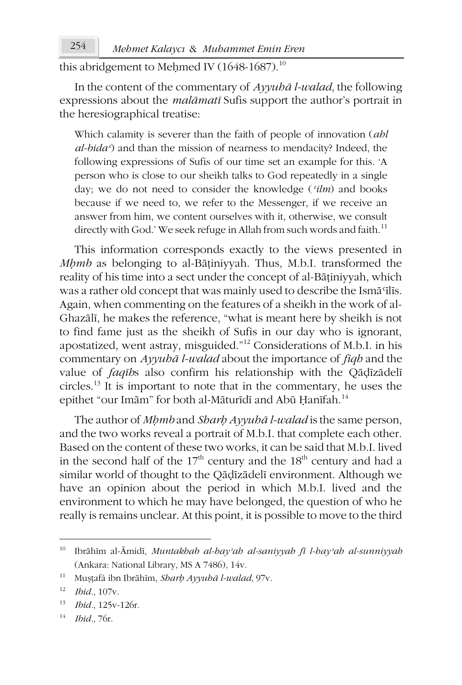*Mehmet Kalayc* 254 *ı* & *Muhammet Emin Eren*

this abridgement to Meḥmed IV (1648-1687).<sup>10</sup>

In the content of the commentary of *Ayyuhā l-walad*, the following expressions about the *malāmatī* Sufis support the author's portrait in the heresiographical treatise:

Which calamity is severer than the faith of people of innovation (*ahl al-bidaʿ*) and than the mission of nearness to mendacity? Indeed, the following expressions of Sufis of our time set an example for this. 'A person who is close to our sheikh talks to God repeatedly in a single day; we do not need to consider the knowledge (*ʿilm*) and books because if we need to, we refer to the Messenger, if we receive an answer from him, we content ourselves with it, otherwise, we consult directly with God.' We seek refuge in Allah from such words and faith.<sup>11</sup>

This information corresponds exactly to the views presented in *Mḥmb* as belonging to al-Bāṭiniyyah. Thus, M.b.I. transformed the reality of his time into a sect under the concept of al-Bāṭiniyyah, which was a rather old concept that was mainly used to describe the Ismāʿīlīs. Again, when commenting on the features of a sheikh in the work of al-Ghazālī, he makes the reference, "what is meant here by sheikh is not to find fame just as the sheikh of Sufis in our day who is ignorant, apostatized, went astray, misguided."<sup>12</sup> Considerations of M.b.I. in his commentary on *Ayyuhā l-walad* about the importance of *fiqh* and the value of *faqīh*s also confirm his relationship with the Qāḍīzādelī circles.<sup>13</sup> It is important to note that in the commentary, he uses the epithet "our Imām" for both al-Māturīdī and Abū Ḥanīfah.<sup>14</sup>

The author of *Mḥmb* and *Sharḥ Ayyuhā l-walad* is the same person, and the two works reveal a portrait of M.b.I. that complete each other. Based on the content of these two works, it can be said that M.b.I. lived in the second half of the  $17<sup>th</sup>$  century and the  $18<sup>th</sup>$  century and had a similar world of thought to the Qāḍīzādelī environment. Although we have an opinion about the period in which M.b.I. lived and the environment to which he may have belonged, the question of who he really is remains unclear. At this point, it is possible to move to the third

<sup>10</sup> Ibrāhīm al-Āmidī, *Muntakhab al-hayʾah al-saniyyah fī l-hayʾah al-sunniyyah* (Ankara: National Library, MS A 7486), 14v.

<sup>11</sup> Muṣṭafá ibn Ibrāhīm, *Sharḥ Ayyuhā l-walad*, 97v.

<sup>12</sup> *Ibid.*, 107v.

<sup>13</sup> *Ibid.*, 125v-126r.

<sup>14</sup> *Ibid.*, 76r.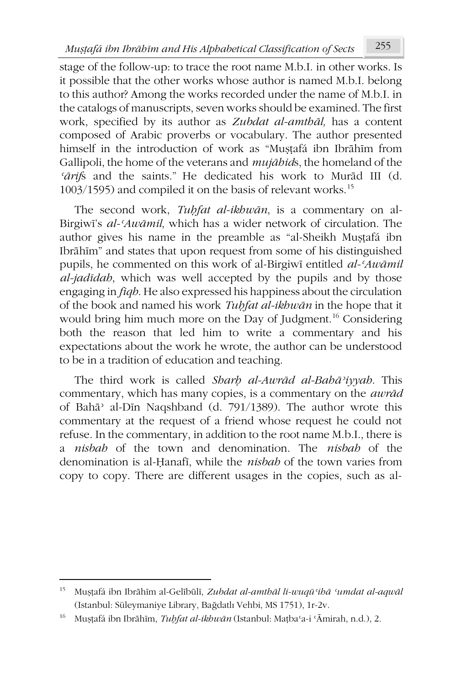stage of the follow-up: to trace the root name M.b.I. in other works. Is it possible that the other works whose author is named M.b.I. belong to this author? Among the works recorded under the name of M.b.I. in the catalogs of manuscripts, seven works should be examined. The first work, specified by its author as *Zubdat al-amthāl,* has a content composed of Arabic proverbs or vocabulary. The author presented himself in the introduction of work as "Muṣṭafá ibn Ibrāhīm from Gallipoli, the home of the veterans and *mujāhid*s, the homeland of the *ʿārif*s and the saints." He dedicated his work to Murād III (d. 1003/1595) and compiled it on the basis of relevant works.<sup>15</sup>

The second work, *Tuḥfat al-ikhwān*, is a commentary on al-Birgiwī's *al-ʿAwāmil*, which has a wider network of circulation. The author gives his name in the preamble as "al-Sheikh Muṣṭafá ibn Ibrāhīm" and states that upon request from some of his distinguished pupils, he commented on this work of al-Birgiwī entitled *al-ʿAwāmil al-jadīdah*, which was well accepted by the pupils and by those engaging in *fiqh*. He also expressed his happiness about the circulation of the book and named his work *Tuḥfat al-ikhwān* in the hope that it would bring him much more on the Day of Judgment.<sup>16</sup> Considering both the reason that led him to write a commentary and his expectations about the work he wrote, the author can be understood to be in a tradition of education and teaching.

The third work is called *Sharḥ al-Awrād al-Bahāʾiyyah*. This commentary, which has many copies, is a commentary on the *awrād* of Bahāʾ al-Dīn Naqshband (d. 791/1389). The author wrote this commentary at the request of a friend whose request he could not refuse. In the commentary, in addition to the root name M.b.I., there is a *nisbah* of the town and denomination. The *nisbah* of the denomination is al-Ḥanafī, while the *nisbah* of the town varies from copy to copy. There are different usages in the copies, such as al-

<sup>15</sup> Muṣṭafá ibn Ibrāhīm al-Gelībūlī, *Zubdat al-amthāl li-wuqūʿihā ʿumdat al-aqwāl* (Istanbul: Süleymaniye Library, Bağdatlı Vehbi, MS 1751), 1r-2v.

<sup>16</sup> Muṣṭafá ibn Ibrāhīm, *Tuḥfat al-ikhwān* (Istanbul: Maṭbaʿa-i ʿĀmirah, n.d.), 2.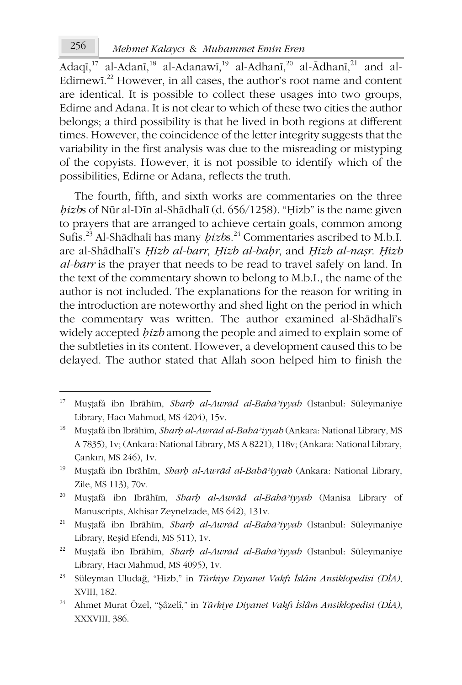Adaqī,<sup>17</sup> al-Adanī,<sup>18</sup> al-Adanawī,<sup>19</sup> al-Adhanī,<sup>20</sup> al-Ādhanī,<sup>21</sup> and al-Edirnewī.<sup>22</sup> However, in all cases, the author's root name and content are identical. It is possible to collect these usages into two groups, Edirne and Adana. It is not clear to which of these two cities the author belongs; a third possibility is that he lived in both regions at different times. However, the coincidence of the letter integrity suggests that the variability in the first analysis was due to the misreading or mistyping of the copyists. However, it is not possible to identify which of the possibilities, Edirne or Adana, reflects the truth.

The fourth, fifth, and sixth works are commentaries on the three *ḥizb*s of Nūr al-Dīn al-Shādhalī (d. 656/1258). "Ḥizb" is the name given to prayers that are arranged to achieve certain goals, common among Sufis.<sup>23</sup> Al-Shādhalī has many *ḥizb*s.<sup>24</sup> Commentaries ascribed to M.b.I. are al-Shādhalī's *Ḥizb al-barr*, *Ḥizb al-baḥr*, and *Ḥizb al-naṣr*. *Ḥizb al-barr* is the prayer that needs to be read to travel safely on land. In the text of the commentary shown to belong to M.b.I., the name of the author is not included. The explanations for the reason for writing in the introduction are noteworthy and shed light on the period in which the commentary was written. The author examined al-Shādhalī's widely accepted *ḥizb* among the people and aimed to explain some of the subtleties in its content. However, a development caused this to be delayed. The author stated that Allah soon helped him to finish the

<sup>17</sup> Muṣṭafá ibn Ibrāhīm, *Sharḥ al-Awrād al-Bahāʾiyyah* (Istanbul: Süleymaniye Library, Hacı Mahmud, MS 4204), 15v.

<sup>18</sup> Muṣṭafá ibn Ibrāhīm, *Sharḥ al-Awrād al-Bahāʾiyyah* (Ankara: National Library, MS A 7835), 1v; (Ankara: National Library, MS A 8221), 118v; (Ankara: National Library, Çankırı, MS 246), 1v.

<sup>19</sup> Muṣṭafá ibn Ibrāhīm, *Sharḥ al-Awrād al-Bahāʾiyyah* (Ankara: National Library, Zile, MS 113), 70v.

<sup>20</sup> Muṣṭafá ibn Ibrāhīm, *Sharḥ al-Awrād al-Bahāʾiyyah* (Manisa Library of Manuscripts, Akhisar Zeynelzade, MS 642), 131v.

<sup>21</sup> Muṣṭafá ibn Ibrāhīm, *Sharḥ al-Awrād al-Bahāʾiyyah* (Istanbul: Süleymaniye Library, Reşid Efendi, MS 511), 1v.

<sup>22</sup> Muṣṭafá ibn Ibrāhīm, *Sharḥ al-Awrād al-Bahāʾiyyah* (Istanbul: Süleymaniye Library, Hacı Mahmud, MS 4095), 1v.

<sup>23</sup> Süleyman Uludağ, "Hizb," in *Türkiye Diyanet Vakfı İslâm Ansiklopedisi (DİA)*, XVIII, 182.

<sup>24</sup> Ahmet Murat Özel, "Şâzelî," in *Türkiye Diyanet Vakfı İslâm Ansiklopedisi (DİA)*, XXXVIII, 386.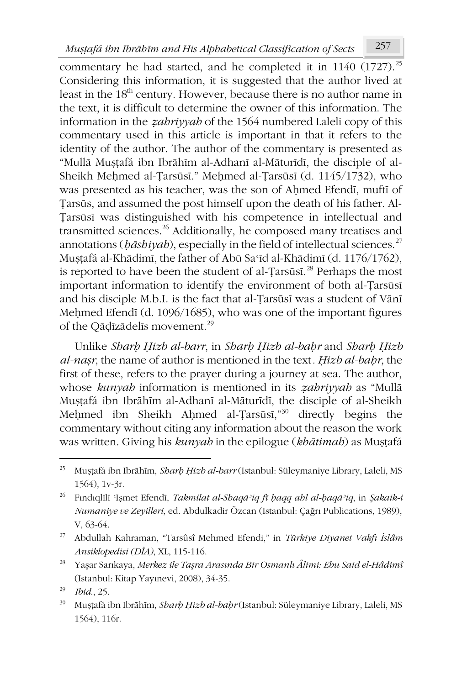commentary he had started, and he completed it in  $1140$  (1727).<sup>25</sup> Considering this information, it is suggested that the author lived at least in the 18<sup>th</sup> century. However, because there is no author name in the text, it is difficult to determine the owner of this information. The information in the *ẓahriyyah* of the 1564 numbered Laleli copy of this commentary used in this article is important in that it refers to the identity of the author. The author of the commentary is presented as "Mullā Muṣṭafá ibn Ibrāhīm al-Adhanī al-Māturīdī, the disciple of al-Sheikh Mehmed al-Tarsūsī." Mehmed al-Tarsūsī (d. 1145/1732), who was presented as his teacher, was the son of Ahmed Efendi, mufti of Ṭarsūs, and assumed the post himself upon the death of his father. Al-Ṭarsūsī was distinguished with his competence in intellectual and transmitted sciences.<sup>26</sup> Additionally, he composed many treatises and annotations (*hāshiyah*), especially in the field of intellectual sciences.<sup>27</sup> Muṣṭafá al-Khādimī, the father of Abū Saʿīd al-Khādimī (d. 1176/1762), is reported to have been the student of al-Ṭarsūsī. <sup>28</sup> Perhaps the most important information to identify the environment of both al-Ṭarsūsī and his disciple M.b.I. is the fact that al-Ṭarsūsī was a student of Vānī Meḥmed Efendī (d. 1096/1685), who was one of the important figures of the Qāḍīzādelīs movement.<sup>29</sup>

Unlike *Sharḥ Ḥizb al-barr*, in *Sharḥ Ḥizb al-baḥr* and *Sharḥ Ḥizb al-naṣr*, the name of author is mentioned in the text*. Ḥizb al-baḥr*, the first of these, refers to the prayer during a journey at sea. The author, whose *kunyah* information is mentioned in its *ẓahriyyah* as "Mullā Muṣṭafá ibn Ibrāhīm al-Adhanī al-Māturīdī, the disciple of al-Sheikh Mehmed ibn Sheikh Ahmed al-Tarsūsī,"<sup>30</sup> directly begins the commentary without citing any information about the reason the work was written. Giving his *kunyah* in the epilogue (*khātimah*) as Muṣṭafá

<sup>25</sup> Muṣṭafá ibn Ibrāhīm, *Sharḥ Ḥizb al-barr* (Istanbul: Süleymaniye Library, Laleli, MS 1564), 1v-3r.

<sup>26</sup> Fındıqlīlī ʿIṣmet Efendī, *Takmilat al-Shaqāʾiq fī ḥaqq ahl al-ḥaqāʾiq*, in *Şakaik-i Numaniye ve Zeyilleri*, ed. Abdulkadir Özcan (Istanbul: Çağrı Publications, 1989), V, 63-64.

<sup>27</sup> Abdullah Kahraman, "Tarsûsî Mehmed Efendi," in *Türkiye Diyanet Vakfı İslâm Ansiklopedisi (DİA)*, XL, 115-116.

<sup>28</sup> Yaşar Sarıkaya, *Merkez ile Taşra Arasında Bir Osmanlı Âlimi: Ebu Said el-Hâdimî* (Istanbul: Kitap Yayınevi, 2008), 34-35.

<sup>29</sup> *Ibid*., 25.

<sup>30</sup> Muṣṭafá ibn Ibrāhīm, *Sharḥ Ḥizb al-baḥr* (Istanbul: Süleymaniye Library, Laleli, MS 1564), 116r.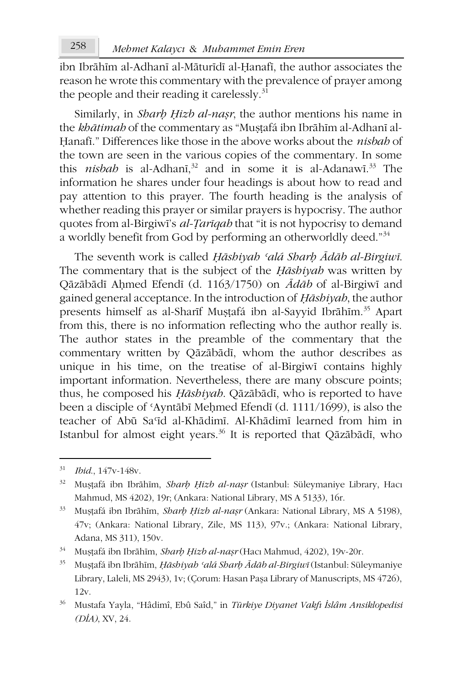ibn Ibrāhīm al-Adhanī al-Māturīdī al-Ḥanafī, the author associates the reason he wrote this commentary with the prevalence of prayer among the people and their reading it carelessly.<sup>31</sup>

Similarly, in *Sharḥ Ḥizb al-naṣr*, the author mentions his name in the *khātimah* of the commentary as "Muṣṭafá ibn Ibrāhīm al-Adhanī al-Ḥanafī." Differences like those in the above works about the *nisbah* of the town are seen in the various copies of the commentary. In some this *nisbah* is al-Adhanī, <sup>32</sup> and in some it is al-Adanawī. <sup>33</sup> The information he shares under four headings is about how to read and pay attention to this prayer. The fourth heading is the analysis of whether reading this prayer or similar prayers is hypocrisy. The author quotes from al-Birgiwī's *al-Ṭarīqah* that "it is not hypocrisy to demand a worldly benefit from God by performing an otherworldly deed."<sup>34</sup>

The seventh work is called *Ḥāshiyah ʿalá Sharḥ Ādāb al-Birgiwī*. The commentary that is the subject of the *Ḥāshiyah* was written by Qāzābādī Aḥmed Efendī (d. 1163/1750) on *Ādāb* of al-Birgiwī and gained general acceptance. In the introduction of *Ḥāshiyah*, the author presents himself as al-Sharīf Muṣṭafá ibn al-Sayyid Ibrāhīm.<sup>35</sup> Apart from this, there is no information reflecting who the author really is. The author states in the preamble of the commentary that the commentary written by Qāzābādī, whom the author describes as unique in his time, on the treatise of al-Birgiwī contains highly important information. Nevertheless, there are many obscure points; thus, he composed his *Ḥāshiyah*. Qāzābādī, who is reported to have been a disciple of ʿAyntābī Meḥmed Efendī (d. 1111/1699), is also the teacher of Abū Saʿīd al-Khādimī. Al-Khādimī learned from him in Istanbul for almost eight years.<sup>36</sup> It is reported that Qāzābādī, who

<sup>31</sup> *Ibid*., 147v-148v.

<sup>32</sup> Muṣṭafá ibn Ibrāhīm, *Sharḥ Ḥizb al-naṣr* (Istanbul: Süleymaniye Library, Hacı Mahmud, MS 4202), 19r; (Ankara: National Library, MS A 5133), 16r.

<sup>33</sup> Muṣṭafá ibn Ibrāhīm, *Sharḥ Ḥizb al-naṣr* (Ankara: National Library, MS A 5198), 47v; (Ankara: National Library, Zile, MS 113), 97v.; (Ankara: National Library, Adana, MS 311), 150v.

<sup>34</sup> Muṣṭafá ibn Ibrāhīm, *Sharḥ Ḥizb al-naṣr* (Hacı Mahmud, 4202), 19v-20r.

<sup>35</sup> Muṣṭafá ibn Ibrāhīm, *Ḥāshiyah ʿalá Sharḥ Ādāb al-Birgiwī* (Istanbul: Süleymaniye Library, Laleli, MS 2943), 1v; (Çorum: Hasan Paşa Library of Manuscripts, MS 4726), 12v.

<sup>36</sup> Mustafa Yayla, "Hâdimî, Ebû Saîd," in *Türkiye Diyanet Vakfı İslâm Ansiklopedisi (DİA)*, XV, 24.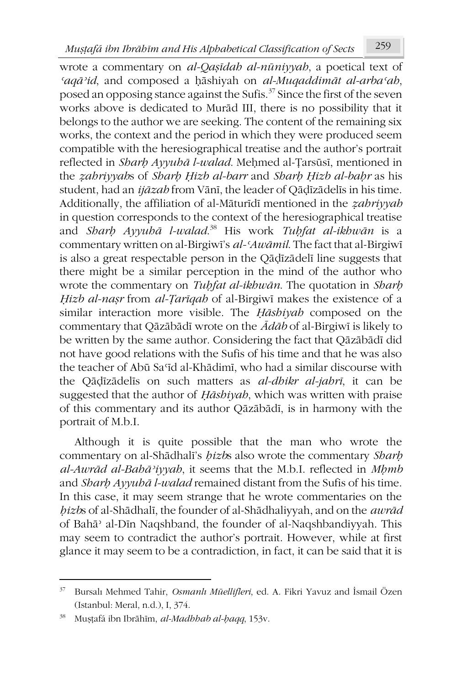wrote a commentary on *al-Qaṣīdah al-nūniyyah*, a poetical text of *ʿaqāʾid*, and composed a ḥāshiyah on *al-Muqaddimāt al-arbaʿah*, posed an opposing stance against the Sufis.<sup>37</sup> Since the first of the seven works above is dedicated to Murād III, there is no possibility that it belongs to the author we are seeking. The content of the remaining six works, the context and the period in which they were produced seem compatible with the heresiographical treatise and the author's portrait reflected in *Sharḥ Ayyuhā l-walad*. Meḥmed al-Ṭarsūsī, mentioned in the *ẓahriyyah*s of *Sharḥ Ḥizb al-barr* and *Sharḥ Ḥizb al-baḥr* as his student, had an *ijāzah* from Vānī, the leader of Qāḍīzādelīs in his time. Additionally, the affiliation of al-Māturīdī mentioned in the *ẓahriyyah* in question corresponds to the context of the heresiographical treatise and *Sharḥ Ayyuhā l-walad*. <sup>38</sup> His work *Tuḥfat al-ikhwān* is a commentary written on al-Birgiwī's *al-ʿAwāmil*. The fact that al-Birgiwī is also a great respectable person in the Qāḍīzādelī line suggests that there might be a similar perception in the mind of the author who wrote the commentary on *Tuḥfat al-ikhwān*. The quotation in *Sharḥ Ḥizb al-naṣr* from *al-Ṭarīqah* of al-Birgiwī makes the existence of a similar interaction more visible. The *Ḥāshiyah* composed on the commentary that Qāzābādī wrote on the *Ādāb* of al-Birgiwī is likely to be written by the same author. Considering the fact that Qāzābādī did not have good relations with the Sufis of his time and that he was also the teacher of Abū Saʿīd al-Khādimī, who had a similar discourse with the Qāḍīzādelīs on such matters as *al-dhikr al-jahrī*, it can be suggested that the author of *Ḥāshiyah*, which was written with praise of this commentary and its author Qāzābādī, is in harmony with the portrait of M.b.I.

Although it is quite possible that the man who wrote the commentary on al-Shādhalī's *ḥizb*s also wrote the commentary *Sharḥ al-Awrād al-Bahāʾiyyah*, it seems that the M.b.I. reflected in *Mḥmb* and *Sharḥ Ayyuhā l-walad* remained distant from the Sufis of his time. In this case, it may seem strange that he wrote commentaries on the *ḥizb*s of al-Shādhalī, the founder of al-Shādhaliyyah, and on the *awrād* of Bahāʾ al-Dīn Naqshband, the founder of al-Naqshbandiyyah. This may seem to contradict the author's portrait. However, while at first glance it may seem to be a contradiction, in fact, it can be said that it is

<sup>37</sup> Bursalı Mehmed Tahir, *Osmanlı Müellifleri*, ed. A. Fikri Yavuz and İsmail Özen (Istanbul: Meral, n.d.), I, 374.

<sup>38</sup> Muṣṭafá ibn Ibrāhīm, *al-Madhhab al-ḥaqq*, 153v.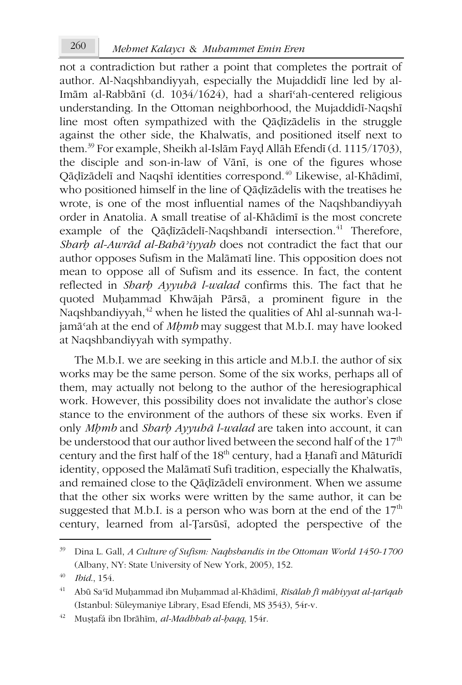not a contradiction but rather a point that completes the portrait of author. Al-Naqshbandiyyah, especially the Mujaddidī line led by al-Imām al-Rabbānī (d. 1034/1624), had a sharīʿah-centered religious understanding. In the Ottoman neighborhood, the Mujaddidī-Naqshī line most often sympathized with the Qāḍīzādelīs in the struggle against the other side, the Khalwatīs, and positioned itself next to them.<sup>39</sup> For example, Sheikh al-Islām Fayḍ Allāh Efendī (d. 1115/1703), the disciple and son-in-law of Vānī, is one of the figures whose Qāḍīzādelī and Naqshī identities correspond.<sup>40</sup> Likewise, al-Khādimī, who positioned himself in the line of Qāḍīzādelīs with the treatises he wrote, is one of the most influential names of the Naqshbandiyyah order in Anatolia. A small treatise of al-Khādimī is the most concrete example of the Qāḍīzādelī-Naqshbandī intersection.<sup>41</sup> Therefore, *Sharḥ al-Awrād al-Bahāʾiyyah* does not contradict the fact that our author opposes Sufism in the Malāmatī line. This opposition does not mean to oppose all of Sufism and its essence. In fact, the content reflected in *Sharḥ Ayyuhā l-walad* confirms this. The fact that he quoted Muḥammad Khwājah Pārsā, a prominent figure in the Naqshbandiyyah,<sup>42</sup> when he listed the qualities of Ahl al-sunnah wa-ljamāʿah at the end of *Mḥmb* may suggest that M.b.I. may have looked at Naqshbandiyyah with sympathy.

The M.b.I. we are seeking in this article and M.b.I. the author of six works may be the same person. Some of the six works, perhaps all of them, may actually not belong to the author of the heresiographical work. However, this possibility does not invalidate the author's close stance to the environment of the authors of these six works. Even if only *Mḥmb* and *Sharḥ Ayyuhā l-walad* are taken into account, it can be understood that our author lived between the second half of the  $17<sup>th</sup>$ century and the first half of the 18<sup>th</sup> century, had a Ḥanafī and Māturīdī identity, opposed the Malāmatī Sufi tradition, especially the Khalwatīs, and remained close to the Qāḍīzādelī environment. When we assume that the other six works were written by the same author, it can be suggested that M.b.I. is a person who was born at the end of the  $17<sup>th</sup>$ century, learned from al-Ṭarsūsī, adopted the perspective of the

<sup>39</sup> Dina L. Gall, *A Culture of Sufism: Naqhsbandis in the Ottoman World 1450-1700* (Albany, NY: State University of New York, 2005), 152.

<sup>40</sup> *Ibid*., 154.

<sup>41</sup> Abū Saʿīd Muḥammad ibn Muḥammad al-Khādimī, *Risālah fī māhiyyat al-ṭarīqah* (Istanbul: Süleymaniye Library, Esad Efendi, MS 3543), 54r-v.

<sup>42</sup> Muṣṭafá ibn Ibrāhīm, *al-Madhhab al-ḥaqq*, 154r.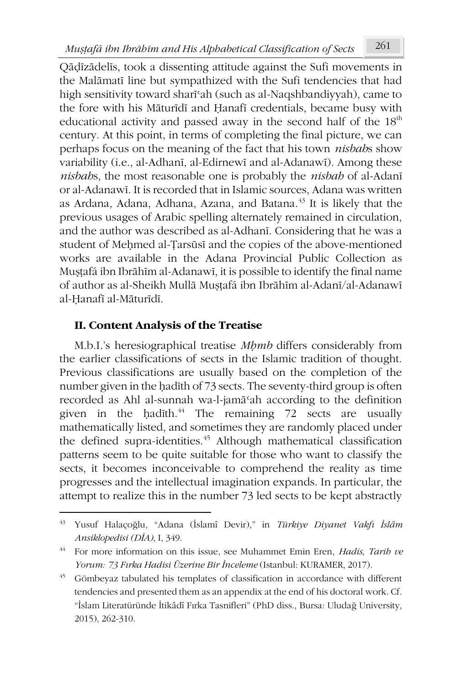Qāḍīzādelīs, took a dissenting attitude against the Sufi movements in the Malāmatī line but sympathized with the Sufi tendencies that had high sensitivity toward sharīʿah (such as al-Naqshbandiyyah), came to the fore with his Māturīdī and Ḥanafī credentials, became busy with educational activity and passed away in the second half of the  $18<sup>th</sup>$ century. At this point, in terms of completing the final picture, we can perhaps focus on the meaning of the fact that his town *nisbah*s show variability (i.e., al-Adhanī, al-Edirnewī and al-Adanawī). Among these *nisbah*s, the most reasonable one is probably the *nisbah* of al-Adanī or al-Adanawī. It is recorded that in Islamic sources, Adana was written as Ardana, Adana, Adhana, Azana, and Batana.<sup>43</sup> It is likely that the previous usages of Arabic spelling alternately remained in circulation, and the author was described as al-Adhanī. Considering that he was a student of Mehmed al-Tarsūsī and the copies of the above-mentioned works are available in the Adana Provincial Public Collection as Muṣṭafá ibn Ibrāhīm al-Adanawī, it is possible to identify the final name of author as al-Sheikh Mullā Muṣṭafá ibn Ibrāhīm al-Adanī/al-Adanawī al-Ḥanafī al-Māturīdī.

## **II. Content Analysis of the Treatise**

M.b.I.'s heresiographical treatise *Mḥmb* differs considerably from the earlier classifications of sects in the Islamic tradition of thought. Previous classifications are usually based on the completion of the number given in the ḥadīth of 73 sects. The seventy-third group is often recorded as Ahl al-sunnah wa-l-jamāʿah according to the definition given in the hadīth. $44$  The remaining 72 sects are usually mathematically listed, and sometimes they are randomly placed under the defined supra-identities.<sup>45</sup> Although mathematical classification patterns seem to be quite suitable for those who want to classify the sects, it becomes inconceivable to comprehend the reality as time progresses and the intellectual imagination expands. In particular, the attempt to realize this in the number 73 led sects to be kept abstractly

<sup>43</sup> Yusuf Halaçoğlu, "Adana (İslamî Devir)," in *Türkiye Diyanet Vakfı İslâm Ansiklopedisi (DİA)*, I, 349.

<sup>44</sup> For more information on this issue, see Muhammet Emin Eren, *Hadis, Tarih ve Yorum: 73 Fırka Hadisi Üzerine Bir İnceleme* (Istanbul: KURAMER, 2017).

<sup>45</sup> Gömbeyaz tabulated his templates of classification in accordance with different tendencies and presented them as an appendix at the end of his doctoral work. Cf. "İslam Literatüründe İtikâdî Fırka Tasnifleri" (PhD diss., Bursa: Uludağ University, 2015), 262-310.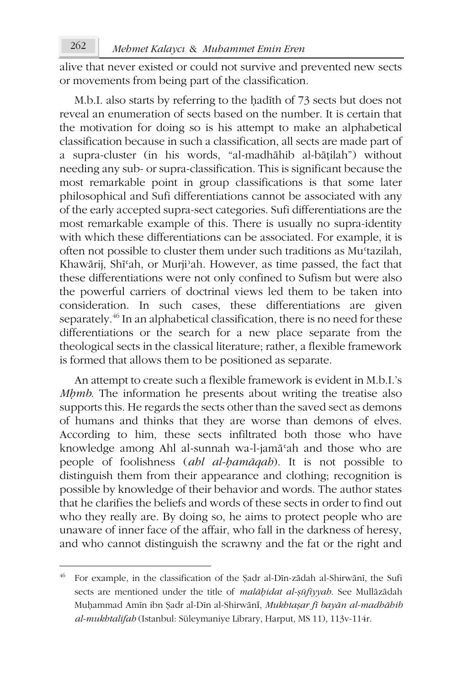alive that never existed or could not survive and prevented new sects or movements from being part of the classification.

M.b.I. also starts by referring to the ḥadīth of 73 sects but does not reveal an enumeration of sects based on the number. It is certain that the motivation for doing so is his attempt to make an alphabetical classification because in such a classification, all sects are made part of a supra-cluster (in his words, "al-madhāhib al-bāṭilah") without needing any sub- or supra-classification. This is significant because the most remarkable point in group classifications is that some later philosophical and Sufi differentiations cannot be associated with any of the early accepted supra-sect categories. Sufi differentiations are the most remarkable example of this. There is usually no supra-identity with which these differentiations can be associated. For example, it is often not possible to cluster them under such traditions as Muʿtazilah, Khawārij, Shīʿah, or Murjiʾah. However, as time passed, the fact that these differentiations were not only confined to Sufism but were also the powerful carriers of doctrinal views led them to be taken into consideration. In such cases, these differentiations are given separately.<sup>46</sup> In an alphabetical classification, there is no need for these differentiations or the search for a new place separate from the theological sects in the classical literature; rather, a flexible framework is formed that allows them to be positioned as separate.

An attempt to create such a flexible framework is evident in M.b.I.'s *Mhmb*. The information he presents about writing the treatise also supports this. He regards the sects other than the saved sect as demons of humans and thinks that they are worse than demons of elves. According to him, these sects infiltrated both those who have knowledge among Ahl al-sunnah wa-l-jamāʿah and those who are people of foolishness (*ahl al-ḥamāqah*). It is not possible to distinguish them from their appearance and clothing; recognition is possible by knowledge of their behavior and words. The author states that he clarifies the beliefs and words of these sects in order to find out who they really are. By doing so, he aims to protect people who are unaware of inner face of the affair, who fall in the darkness of heresy, and who cannot distinguish the scrawny and the fat or the right and

<sup>46</sup> For example, in the classification of the Ṣadr al-Dīn-zādah al-Shirwānī, the Sufi sects are mentioned under the title of *malāḥidat al-ṣūfiyyah*. See Mullāzādah Muḥammad Amīn ibn Ṣadr al-Dīn al-Shirwānī, *Mukhtaṣar fī bayān al-madhāhib al-mukhtalifah* (Istanbul: Süleymaniye Library, Harput, MS 11), 113v-114r.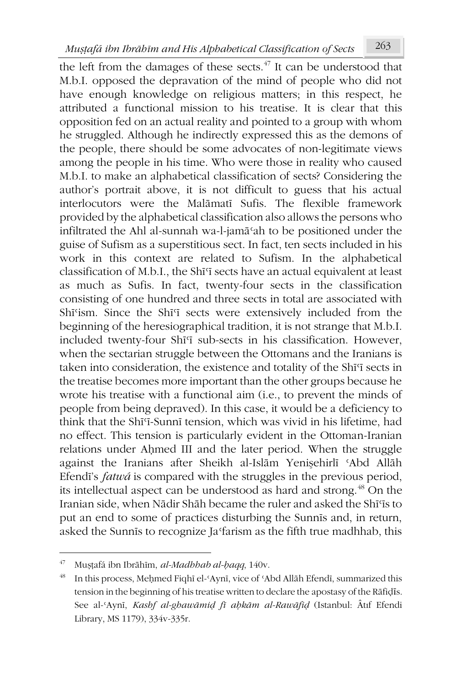the left from the damages of these sects. $47$  It can be understood that M.b.I. opposed the depravation of the mind of people who did not have enough knowledge on religious matters; in this respect, he attributed a functional mission to his treatise. It is clear that this opposition fed on an actual reality and pointed to a group with whom he struggled. Although he indirectly expressed this as the demons of the people, there should be some advocates of non-legitimate views among the people in his time. Who were those in reality who caused M.b.I. to make an alphabetical classification of sects? Considering the author's portrait above, it is not difficult to guess that his actual interlocutors were the Malāmatī Sufis. The flexible framework provided by the alphabetical classification also allows the persons who infiltrated the Ahl al-sunnah wa-l-jamāʿah to be positioned under the guise of Sufism as a superstitious sect. In fact, ten sects included in his work in this context are related to Sufism. In the alphabetical classification of M.b.I., the Shīʿī sects have an actual equivalent at least as much as Sufis. In fact, twenty-four sects in the classification consisting of one hundred and three sects in total are associated with Shīʿism. Since the Shīʿī sects were extensively included from the beginning of the heresiographical tradition, it is not strange that M.b.I. included twenty-four Shī<sup>c</sup>ī sub-sects in his classification. However, when the sectarian struggle between the Ottomans and the Iranians is taken into consideration, the existence and totality of the Shī'ī sects in the treatise becomes more important than the other groups because he wrote his treatise with a functional aim (i.e., to prevent the minds of people from being depraved). In this case, it would be a deficiency to think that the Shīʿī-Sunnī tension, which was vivid in his lifetime, had no effect. This tension is particularly evident in the Ottoman-Iranian relations under Aḥmed III and the later period. When the struggle against the Iranians after Sheikh al-Islām Yenişehirlī ʿAbd Allāh Efendī's *fatwá* is compared with the struggles in the previous period, its intellectual aspect can be understood as hard and strong.<sup>48</sup> On the Iranian side, when Nādir Shāh became the ruler and asked the Shīʿīs to put an end to some of practices disturbing the Sunnīs and, in return, asked the Sunnīs to recognize Jaʿfarism as the fifth true madhhab, this

<sup>47</sup> Muṣṭafá ibn Ibrāhīm, *al-Madhhab al-ḥaqq*, 140v.

<sup>&</sup>lt;sup>48</sup> In this process, Meḥmed Fiqhī el-ʿAynī, vice of ʿAbd Allāh Efendī, summarized this tension in the beginning of his treatise written to declare the apostasy of the Rāfiḍīs. See al-ʿAynī, *Kashf al-ghawāmiḍ fī aḥkām al-Rawāfiḍ* (Istanbul: Âtıf Efendi Library, MS 1179), 334v-335r.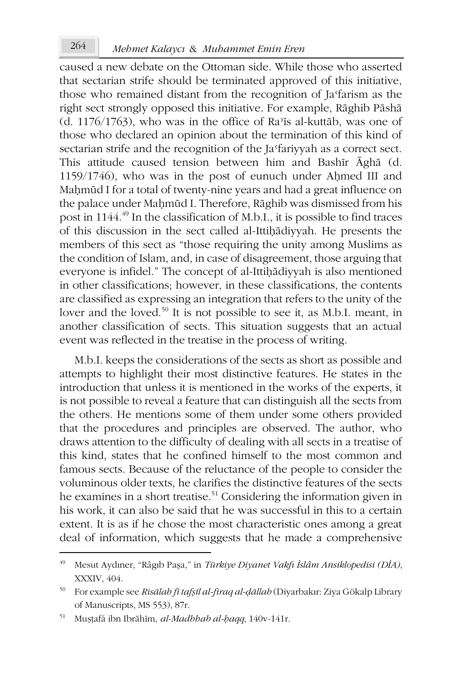# *Mehmet Kalayc* 264 *ı* & *Muhammet Emin Eren*

caused a new debate on the Ottoman side. While those who asserted that sectarian strife should be terminated approved of this initiative, those who remained distant from the recognition of Ja<sup>c</sup>farism as the right sect strongly opposed this initiative. For example, Rāghib Pāshā (d. 1176/1763), who was in the office of Raʾīs al-kuttāb, was one of those who declared an opinion about the termination of this kind of sectarian strife and the recognition of the Ja fariyyah as a correct sect. This attitude caused tension between him and Bashīr Āghā (d. 1159/1746), who was in the post of eunuch under Aḥmed III and Maḥmūd I for a total of twenty-nine years and had a great influence on the palace under Maḥmūd I. Therefore, Rāghib was dismissed from his post in 1144.<sup>49</sup> In the classification of M.b.I., it is possible to find traces of this discussion in the sect called al-Ittiḥādiyyah. He presents the members of this sect as "those requiring the unity among Muslims as the condition of Islam, and, in case of disagreement, those arguing that everyone is infidel." The concept of al-Ittiḥādiyyah is also mentioned in other classifications; however, in these classifications, the contents are classified as expressing an integration that refers to the unity of the lover and the loved.<sup>50</sup> It is not possible to see it, as M.b.I. meant, in another classification of sects. This situation suggests that an actual event was reflected in the treatise in the process of writing.

M.b.I. keeps the considerations of the sects as short as possible and attempts to highlight their most distinctive features. He states in the introduction that unless it is mentioned in the works of the experts, it is not possible to reveal a feature that can distinguish all the sects from the others. He mentions some of them under some others provided that the procedures and principles are observed. The author, who draws attention to the difficulty of dealing with all sects in a treatise of this kind, states that he confined himself to the most common and famous sects. Because of the reluctance of the people to consider the voluminous older texts, he clarifies the distinctive features of the sects he examines in a short treatise.<sup>51</sup> Considering the information given in his work, it can also be said that he was successful in this to a certain extent. It is as if he chose the most characteristic ones among a great deal of information, which suggests that he made a comprehensive

<sup>49</sup> Mesut Aydıner, "Râgıb Paşa," in *Türkiye Diyanet Vakfı İslâm Ansiklopedisi (DİA)*, XXXIV, 404.

<sup>50</sup> For example see *Risālah fī tafṣīl al-firaq al-ḍāllah* (Diyarbakır: Ziya Gökalp Library of Manuscripts, MS 553), 87r.

<sup>51</sup> Muṣṭafá ibn Ibrāhīm, *al-Madhhab al-ḥaqq*, 140v-141r.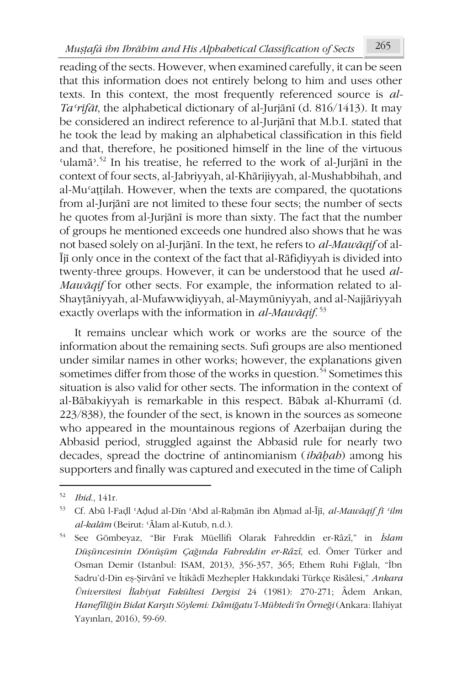reading of the sects. However, when examined carefully, it can be seen that this information does not entirely belong to him and uses other texts. In this context, the most frequently referenced source is *al-Taʿrīfāt*, the alphabetical dictionary of al-Jurjānī (d. 816/1413). It may be considered an indirect reference to al-Jurjānī that M.b.I. stated that he took the lead by making an alphabetical classification in this field and that, therefore, he positioned himself in the line of the virtuous 'ulamā'.<sup>52</sup> In his treatise, he referred to the work of al-Jurjānī in the context of four sects, al-Jabriyyah, al-Khārijiyyah, al-Mushabbihah, and al-Muʿaṭṭilah. However, when the texts are compared, the quotations from al-Jurjānī are not limited to these four sects; the number of sects he quotes from al-Jurjānī is more than sixty. The fact that the number of groups he mentioned exceeds one hundred also shows that he was not based solely on al-Jurjānī. In the text, he refers to *al-Mawāqif* of al-Ījī only once in the context of the fact that al-Rāfiḍiyyah is divided into twenty-three groups. However, it can be understood that he used *al-Mawāqif* for other sects. For example, the information related to al-Shayṭāniyyah, al-Mufawwiḍiyyah, al-Maymūniyyah, and al-Najjāriyyah exactly overlaps with the information in *al-Mawāqif*. 53

It remains unclear which work or works are the source of the information about the remaining sects. Sufi groups are also mentioned under similar names in other works; however, the explanations given sometimes differ from those of the works in question.<sup> $54$ </sup> Sometimes this situation is also valid for other sects. The information in the context of al-Bābakiyyah is remarkable in this respect. Bābak al-Khurramī (d. 223/838), the founder of the sect, is known in the sources as someone who appeared in the mountainous regions of Azerbaijan during the Abbasid period, struggled against the Abbasid rule for nearly two decades, spread the doctrine of antinomianism (*ibāḥah*) among his supporters and finally was captured and executed in the time of Caliph

<sup>52</sup> *Ibid*., 141r.

<sup>53</sup> Cf. Abū l-Faḍl ʿAḍud al-Dīn ʿAbd al-Raḥmān ibn Aḥmad al-Ījī, *al-Mawāqif fī ʿilm al-kalām* (Beirut: ʿĀlam al-Kutub, n.d.).

<sup>54</sup> See Gömbeyaz, "Bir Fırak Müellifi Olarak Fahreddin er-Râzî," in *İslam Düşüncesinin Dönüşüm Çağında Fahreddin er-Râzî*, ed. Ömer Türker and Osman Demir (Istanbul: ISAM, 2013), 356-357, 365; Ethem Ruhi Fığlalı, "İbn Sadru'd-Din eş-Şirvânî ve İtikâdî Mezhepler Hakkındaki Türkçe Risâlesi," *Ankara Üniversitesi İlahiyat Fakültesi Dergisi* 24 (1981): 270-271; Âdem Arıkan, *Hanefîliğin Bidat Karşıtı Söylemi: Dâmiğatu'l-Mübtedi'în Örneği* (Ankara: Ilahiyat Yayınları, 2016), 59-69.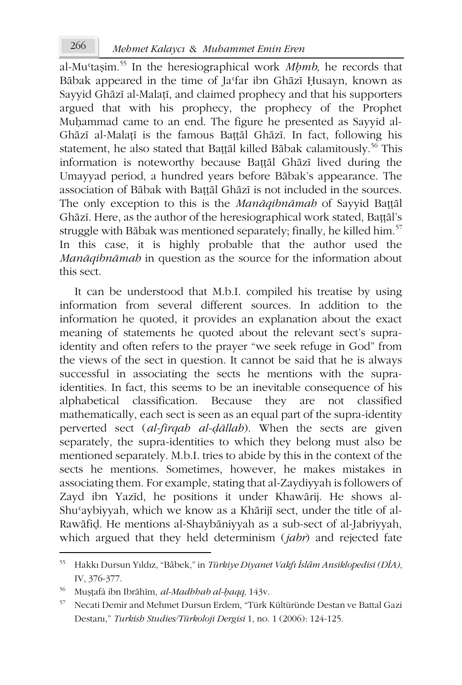al-Muʿtaṣim.<sup>55</sup> In the heresiographical work *Mḥmb*, he records that Bābak appeared in the time of Ja'far ibn Ghāzī Husayn, known as Sayyid Ghāzī al-Malaṭī, and claimed prophecy and that his supporters argued that with his prophecy, the prophecy of the Prophet Muhammad came to an end. The figure he presented as Sayyid al-Ghāzī al-Malaṭī is the famous Baṭṭāl Ghāzī. In fact, following his statement, he also stated that Baṭṭāl killed Bābak calamitously.<sup>56</sup> This information is noteworthy because Baṭṭāl Ghāzī lived during the Umayyad period, a hundred years before Bābak's appearance. The association of Bābak with Baṭṭāl Ghāzī is not included in the sources. The only exception to this is the *Manāqibnāmah* of Sayyid Baṭṭāl Ghāzī. Here, as the author of the heresiographical work stated, Baṭṭāl's struggle with Bābak was mentioned separately; finally, he killed him.<sup>57</sup> In this case, it is highly probable that the author used the *Manāqibnāmah* in question as the source for the information about this sect.

It can be understood that M.b.I. compiled his treatise by using information from several different sources. In addition to the information he quoted, it provides an explanation about the exact meaning of statements he quoted about the relevant sect's supraidentity and often refers to the prayer "we seek refuge in God" from the views of the sect in question. It cannot be said that he is always successful in associating the sects he mentions with the supraidentities. In fact, this seems to be an inevitable consequence of his alphabetical classification. Because they are not classified mathematically, each sect is seen as an equal part of the supra-identity perverted sect (*al-firqah al-ḍāllah*). When the sects are given separately, the supra-identities to which they belong must also be mentioned separately. M.b.I. tries to abide by this in the context of the sects he mentions. Sometimes, however, he makes mistakes in associating them. For example, stating that al-Zaydiyyah is followers of Zayd ibn Yazīd, he positions it under Khawārij. He shows al-Shuʿaybiyyah, which we know as a Khārijī sect, under the title of al-Rawāfiḍ. He mentions al-Shaybāniyyah as a sub-sect of al-Jabriyyah, which argued that they held determinism (*jabr*) and rejected fate

<sup>55</sup> Hakkı Dursun Yıldız, "Bâbek," in *Türkiye Diyanet Vakfı İslâm Ansiklopedisi (DİA)*, IV, 376-377.

<sup>56</sup> Muṣṭafá ibn Ibrāhīm, *al-Madhhab al-ḥaqq*, 143v.

<sup>57</sup> Necati Demir and Mehmet Dursun Erdem, "Türk Kültüründe Destan ve Battal Gazi Destanı," *Turkish Studies/Türkoloji Dergisi* 1, no. 1 (2006): 124-125.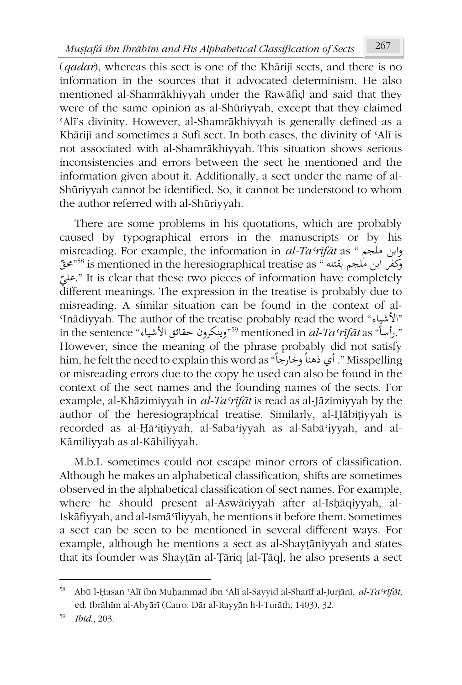(*qadar*), whereas this sect is one of the Khārijī sects, and there is no information in the sources that it advocated determinism. He also mentioned al-Shamrākhiyyah under the Rawāfiḍ and said that they were of the same opinion as al-Shūriyyah, except that they claimed ʿAlī's divinity. However, al-Shamrākhiyyah is generally defined as a Khārijī and sometimes a Sufi sect. In both cases, the divinity of ʿAlī is not associated with al-Shamrākhiyyah. This situation shows serious inconsistencies and errors between the sect he mentioned and the information given about it. Additionally, a sect under the name of al-Shūriyyah cannot be identified. So, it cannot be understood to whom the author referred with al-Shūriyyah.

There are some problems in his quotations, which are probably caused by typographical errors in the manuscripts or by his misreading. For example, the information in *al-Taʿrīfāt* as " ملجم وابن :<br>.. وكفر ابن مُلجم بقتله " is mentioned in the heresiographical treatise as"محقّ ّ different meanings. The expression in the treatise is probably due to علي. "It is clear that these two pieces of information have completely misreading. A similar situation can be found in the context of al-ʿInādiyyah. The author of the treatise probably read the word "الأشياء" in the sentence "وينكرون حقائق الأشياء" mentioned in *al-Taʿrīfāt* as "رأسا".<br>--However, since the meaning of the phrase probably did not satisfy him, he felt the need to explain this word as "ً ًوخارجا Misspelling" . أي ذهنا or misreading errors due to the copy he used can also be found in the context of the sect names and the founding names of the sects. For example, al-Khāzimiyyah in *al-Taʿrīfāt* is read as al-Jāzimiyyah by the author of the heresiographical treatise. Similarly, al-Ḥābiṭiyyah is recorded as al-Ḥāʾiṭiyyah, al-Sabaʾiyyah as al-Sabāʾiyyah, and al-Kāmiliyyah as al-Kāhiliyyah.

M.b.I. sometimes could not escape minor errors of classification. Although he makes an alphabetical classification, shifts are sometimes observed in the alphabetical classification of sect names. For example, where he should present al-Aswāriyyah after al-Isḥāqiyyah, al-Iskāfiyyah, and al-Ismāʿīliyyah, he mentions it before them. Sometimes a sect can be seen to be mentioned in several different ways. For example, although he mentions a sect as al-Shayṭāniyyah and states that its founder was Shayṭān al-Ṭāriq [al-Ṭāq], he also presents a sect

<sup>58</sup> Abū l-Ḥasan ʿAlī ibn Muḥammad ibn ʿAlī al-Sayyid al-Sharīf al-Jurjānī, *al-Taʿrīfāt*, ed. Ibrāhīm al-Abyārī (Cairo: Dār al-Rayyān li-l-Turāth, 1403), 32.

<sup>59</sup> *Ibid*., 203.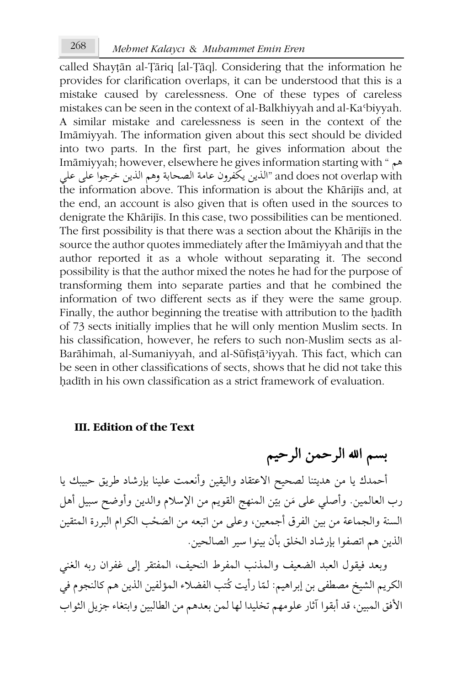# *Mehmet Kalayc* 268 *ı* & *Muhammet Emin Eren*

called Shayṭān al-Ṭāriq [al-Ṭāq]. Considering that the information he provides for clarification overlaps, it can be understood that this is a mistake caused by carelessness. One of these types of careless mistakes can be seen in the context of al-Balkhiyyah and al-Kaʿbiyyah. A similar mistake and carelessness is seen in the context of the Imāmiyyah. The information given about this sect should be divided into two parts. In the first part, he gives information about the Imāmiyyah; however, elsewhere he gives information starting with " هم and does not overlap with "الذين يكفرون عامة الصحابة وهم الذين خرجوا على على the information above. This information is about the Khārijīs and, at the end, an account is also given that is often used in the sources to denigrate the Khārijīs. In this case, two possibilities can be mentioned. The first possibility is that there was a section about the Khārijīs in the source the author quotes immediately after the Imāmiyyah and that the author reported it as a whole without separating it. The second possibility is that the author mixed the notes he had for the purpose of transforming them into separate parties and that he combined the information of two different sects as if they were the same group. Finally, the author beginning the treatise with attribution to the ḥadīth of 73 sects initially implies that he will only mention Muslim sects. In his classification, however, he refers to such non-Muslim sects as al-Barāhimah, al-Sumaniyyah, and al-Sūfisṭāʾiyyah. This fact, which can be seen in other classifications of sects, shows that he did not take this hadīth in his own classification as a strict framework of evaluation.

#### **III. Edition of the Text**

بسم الله الرحمن الرحيم

أحمدك يا من هديتنا لصحيح الاعتقاد واليقين وأنعمت علينا بإرشاد طريق حبيبك يا رب العالمين. وأصلي على مَن بيّن المنهج القويم من الإسلام والدين وأوضح سبيل أهل  $\overline{a}$ السنة والجماعة من بين الفرق أجمعين، وعلى من اتبعه من الصَحْب الكرام البررة المتقين **∫** ْ الذين هم اتصفوا بإرشاد الخلق بأن بينوا سير الصالحين.

وبعد فيقول العبد الضعيف والمذنب المفرط النحيف، المفتقر إلى غفران ربه الغني الكريم الشيخ مصطفى بن إبراهيم: لمّا رأيت كُتب الفضلاء المؤلفين الذين هم كالنجوم في **<sup>** $\overline{a}$ **</sup>** الأفق المبين، قد أبقوا آثار علومهم تخليدا لها لمن بعدهم من الطالبين وابتغاء جزيل الثواب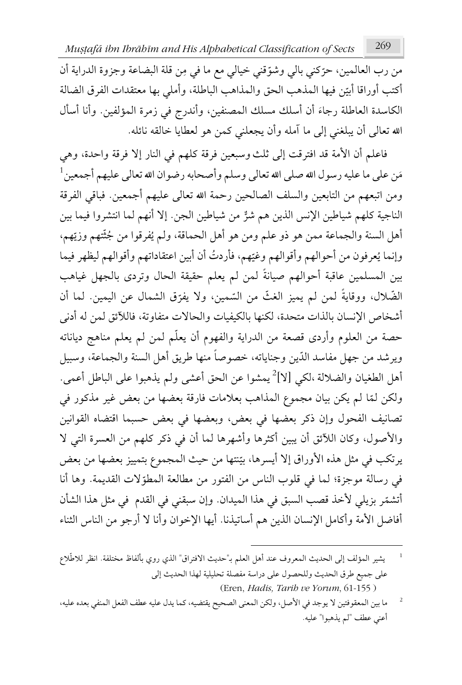*Muṣṭafá ibn Ibrāhīm and His Alphabetical Classification of Sects* 269

من رب العالمين، حرّكني بالي وشوّقني خيالي مع ما في مِن قلة البضاعة وجزوة الدراية أن .<br>. ؙ أكتب أوراقا أبيّن فيها المذهب الحق والمذاهب الباطلة، وأملي بها معتقدات الفرق الضالة .<br>ا َ الكاسدة العاطلة رجاءَ أن أسلك مسلك المصنفين، وأندرج في زمرة المؤلفين. وأنا أسأل الله تعالى أن يبلغني إلى ما آمله وأن يجعلني كمن هو لعطايا خالقه نائله.

فاعلم أن الأمة قد افترقت إلى ثلث وسبعين فرقة كلهم في النار إلا فرقة واحدة، وهي  $\overline{a}$  $^1$ مَن على ما عليه رسول الله صلى الله تعالى وسلم وأصحابه رضوان الله تعالى عليهم أجمعين ومن اتبعهم من التابعين والسلف الصالحين رحمة الله تعالى عليهم أجمعين. فباقى الفرقة الناجية كلهم شياطين الإنس الذين هم شرٌّ من شياطين الجن. إلا أنهم لما انتشروا فيما بين ƭ أهل السنة والجماعة ممن هو ذو علم ومن هو أهل الحماقة، ولم يُفرقوا من جُثَّتهم وزيّهم، با<br>ا ׇ֧֡֡֬<u>֕</u> وإنما يُعرفون من أحوالهم وأقوالهم وغيّهم، فأردتُ أن أبين اعتقاداتهم وأقوالهم ليظهر فيما ؘ<br>ؖ .<br>ا بين المسلمين عاقبة أحوالهم صيانةً لمن لم يعلم حقيقة الحال وتردى بالجهل غياهب الضَّلال، ووقايةً لمن لم يميز الغثَّ من السّمين، ولا يفرّق الشمال عن اليمين. لما أن **∕** ٔ .<br>نم أشخاص الإنسان بالذات متحدة، لكنها بالكبفيات والحالات متفاوتة، فاللأئق لمن له أدنى حصة من العلوم وأردى قصعة من الدراية والفهوم أن يعلّم لمن لم يعلم مناهج دياناته .<br>ا ويرشد من جهل مفاسد الدّين وجناياته، خصوصاً منها طريق أهل السنة والجماعة، وسبيل أهل الطغيان والضلالة ،لكى [لا]<sup>2</sup> يمشوا عن الحق أعشى ولم يذهبوا على الباطل أعمى. ولكن لمّا لم يكن بيان مجموع المذاهب بعلامات فارقة بعضها من بعض غير مذكور في **م** تصانيف الفحول وإن ذكر بعضها في بعض، وبعضها في بعض حسبما اقتضاه القوانين والأصول، وكان اللاّئق أن يبين أكثرها وأشهرها لما أن في ذكر كلهم من العسرة التي لا يرتكب في مثل هذه الأوراق إلا أيسرها، بيّنتها من حيث المجموع بتمييز بعضها من بعض **:** في رسالة موجزة؛ لما في قلوب الناس من الفتور من مطالعة المطوّلات القديمة. وها أنا ؙ أتشمّر بزيلي لأخذ قصب السبق في هذا الميدان. وإن سبقني في القدم في مثل هذا الشأن **^** أفاضل الأمة وأكامل الإنسان الذين هم أساتيذنا. أيها الإخوان وأنا لا أرجو من الناس الثناء

<sup>1</sup> يشير المؤلف إلى الحديث المعروف عند أهل العلم بـ"حديث الافتراق" الذي روي بألفاظ مختلفة. انظر للاطّلاع على جميع طرق الحديث وللحصول على دراسة مفصلة تحليلية لهذا الحديث إلى (Eren, *Hadis, Tarih ve Yorum*, 61-155 )

<sup>2</sup> ما بين المعقوفتين لا يوجد في الأصل، ولكن المعنى الصحيح يقتضيه، كما يدل عليه عطف الفعل المنفى بعده عليه، أعنى عطف "لم يذهبوا" عليه.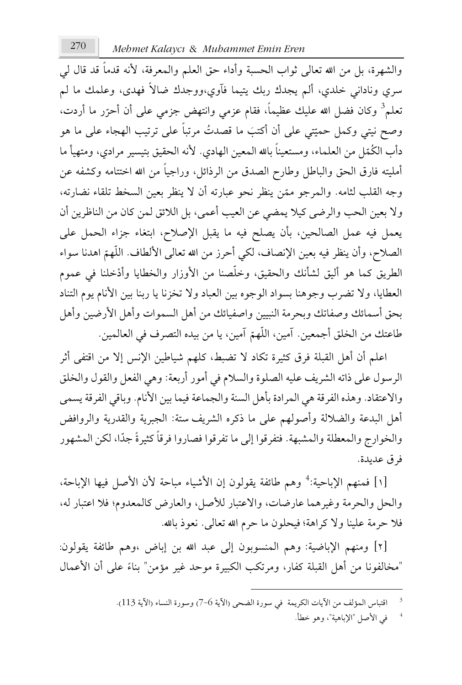والشهرة، بل من الله تعالى ثواب الحسبة وأداء حق العلم والمعرفة، لأنه قدماً قد قال لي سري وناداني خلدي، ألم يجدك ربك يتيما فآوي،ووجدك ضالاً فهدي، وعلمك ما لم تعلم<sup>3</sup> وكان فضل الله عليك عظيماً، فقام عزمي وانتهض جزمي على أن أحرّر ما أردت، .<br>ن ijİ ÓĨ ĵĥĐ ءÓåıĤا ÕĻÜóÜ ĵĥĐ Ó×ÜóĨ ً تïāĜ ÓĨ ُ َ ÕÝĠأ أن ĵĥĐ ĹÝ Ļĩè ģĩĠو ĹÝĻĬ çĀو .<br>ا دأب الكُمّل من العلماء، ومستعينا بالله المعين الهادي. لأنه الحقيق بتيسير مرادي، ومتهيأ ما ُ **^** أمليته فارق الحق والباطل وطارح الصدق من الرذائل، وراجياً من الله اختتامه وكشفه عن وجه القلب لثامه. والمرجو ممّن ينظر نحو عبارته أن لا ينظر بعين السخط تلقاء نضارته، **´** ولا بعين الحب والرضى كيلا يمضي عن العيب أعمى، بل اللائق لمن كان من الناظرين أن يعمل فيه عمل الصالحين، بأن يصلح فيه ما يقبل الإصلاح، ابتغاء جزاء الحمل على الصلاح، وأن ينظر فيه بعين الإنصاف، لكي أحرز من الله تعالى الألطاف. اللهمّ اهدنا سواء ّ الطريق كما هو أليق لشأنك والحقيق، وخلصنا من الأوزار والخطايا وأدْخلنا في عموم <u>ٔ</u> العطايا، ولا تضرب وجوهنا بسواد الوجوه بين العباد ولا تخزنا يا ربنا بين الأنام يوم التناد بحق أسمائك وصفاتك وبحرمة النبيين واصفيائك من أهل السموات وأهل الأرضين وأهل ֡֩֓**֟**֟֡֡֝ طاعتك من الخلق أجمعين. آمين، اللّهمّ آمين، يا من بيده التصرف في العالمين.

اعلم أن أهل القبلة فرق كثيرة تكاد لا تضبط، كلهم شياطين الإنس إلا من اقتفى أثر الرسول على ذاته الشريف عليه الصلوة والسلام في أمور أربعة: وهي الفعل والقول والخلق والاعتقاد. وهذه الفرقة هي المرادة بأهل السنة والجماعة فيما بين الأنام. وباقي الفرقة يسمى أهل البدعة والضلالة وأصولهم على ما ذكره الشريف ستة: الجبرية والقدرية والروافض والخوارج والمعطلة والمشبهة. فتفرقوا إلى ما تفرقوا فصاروا فرقا كثيرةً جدًّا، لكن المشهور فرق عديدة.

[١] فمنهم الإباحية:<sup>4</sup> وهم طائفة يقولون إن الأشياء مباحة لأن الأصل فيها الإباحة، والحل والحرمة وغيرهما عارضات، والاعتبار للأصل، والعارض كالمعدوم؛ فلا اعتبار له، فلا حرمة علينا ولا كراهة؛ فيحلون ما حرم الله تعالى. نعوذ بالله.

[٢] ومنهم الإباضية: وهم المنسوبون إلى عبد الله بن إباض ،وهم طائفة يقولون: "مخالفونا من أهل القبلة كفار، ومرتكب الكبيرة موحد غير مؤمن" بناءً على أن الأعمال ً

<sup>3</sup> اقتباس المؤلف من الأيات الكريمة في سورة الضحى (الأية 6-7) وسورة النساء (الأية 113).

<sup>4</sup> في الأصل "الإباهية"، وهو خطأ.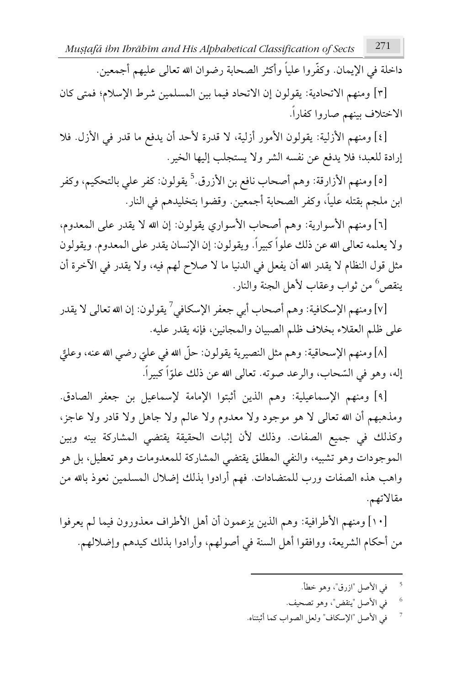*Muṣṭafá ibn Ibrāhīm and His Alphabetical Classification of Sects* 271

داخلة في الإيمان. وكفّروا عليا وأكثر الصحابة رضوان الله تعالى عليهم أجمعين.

[٣] ومنهم الاتحادية: يقولون إن الاتحاد فيما بين المسلمين شرط الإسلام؛ فمتى كان الاختلاف بينهم صاروا كفاراً.

[٤] ومنهم الأزلية: يقولون الأمور أزلية، لا قدرة لأحد أن يدفع ما قدر في الأزل. فلا إرادة للعبد؛ فلا يدفع عن نفسه الشر ولا يستجلب إليها الخير.

[٥] ومنهم الأزارقة: وهم أصحاب نافع بن الأزرق.<sup>5</sup> يقولون: كفر علي بالتحكيم، وكفر ابن ملجم بقتله علياً، وكفر الصحابة أجمعين. وقضوا بتخليدهم في النار.

[٦] ومنهم الأسوارية: وهم أصحاب الأسواري يقولون: إن الله لا يقدر على المعدوم، ولا يعلمه تعالى الله عن ذلك علوا كبيرا. ويقولون: إن الإنسان يقدر على المعدوم. ويقولون مثل قول النظام لا يقدر الله أن يفعل في الدنيا ما لا صلاح لهم فيه، ولا يقدر في الآخرة أن ينقص<sup>6</sup> من ثواب وعقاب لأهل الجنة والنار.

ومنهم الإسكافية: وهم أصحاب أبي جعفر الإسكافي<sup>7</sup> يقولون: إن الله تعالى لا يقدر [v] على ظلم العقلاء بخلاف ظلم الصبيان والمجانين، فإنه يقدر عليه.

[٨] ومنهم الإسحاقية: وهم مثل النصيرية يقولون: حلَّ الله في عليٍّ رضي الله عنه، وعليٌّ ƭ **∶** إله، وهو في السّحاب، والرعد صوته. تعالى الله عن ذلك علوّا كبيرا.<br>. ا ؛

[٩] ومنهم الإسماعيلية: وهم الذين أثبتوا الإمامة لإسماعيل بن جعفر الصادق. ومذهبهم أن الله تعالى لا هو موجود ولا معدوم ولا عالم ولا جاهل ولا قادر ولا عاجز، وكذلك في جميع الصفات. وذلك لأن إثبات الحقيقة يقتضى المشاركة بينه وبين الموجودات وهو تشبيه، والنفي المطلق يقتضى المشاركة للمعدومات وهو تعطيل، بل هو واهب هذه الصفات ورب للمتضادات. فهم أرادوا بذلك إضلال المسلمين نعوذ بالله من مقالاتهم.

[١٠] ومنهم الأطرافية: وهم الذين يزعمون أن أهل الأطراف معذورون فيما لم يعرفوا من أحكام الشريعة، ووافقوا أهل السنة في أصولهم، وأرادوا بذلك كيدهم وإضلالهم.

- 5 في الأصل "ازرق"، وهو خطأ.
- 6 في الأصل "ينقض"، وهو تصحيف.
- 7 في الأصل "الإسكاف" ولعل الصواب كما أثبتناه.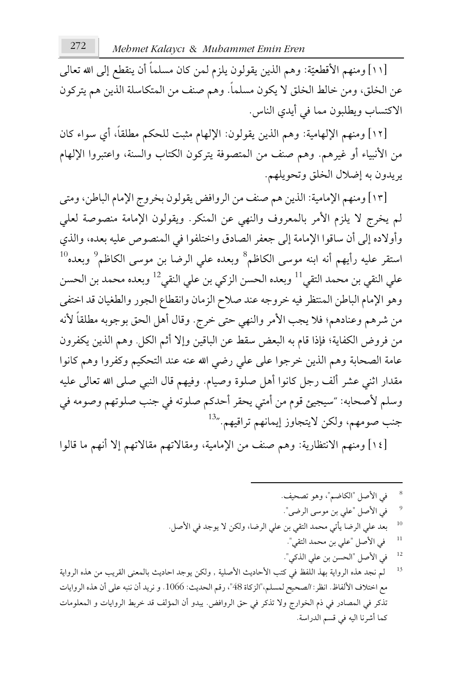[١١] ومنهم الأقطعيّة: وهم الذين يقولون يلزم لمن كان مسلما أن ينقطع إلى الله تعالى Ĭ. عن الخلق، ومن خالط الخلق لا يكون مسلماً. وهم صنف من المتكاسلة الذين هم يتركون الاكتساب ويطلبون مما في أيدي الناس.

[١٢] ومنهم الإلهامية: وهم الذين يقولون: الإلهام مثبت للحكم مطلقاً، أي سواء كان من الأنبياء أو غيرهم. وهم صنف من المتصوفة يتركون الكتاب والسنة، واعتبروا الإلهام يريدون به إضلال الخلق وتحويلهم.

[١٣] ومنهم الإمامية: الذين هم صنف من الروافض يقولون بخروج الإمام الباطن، ومتى لم يخرج لا يلزم الأمر بالمعروف والنهى عن المنكر. ويقولون الإمامة منصوصة لعلى وأولاده إلى أن ساقوا الإمامة إلى جعفر الصادق واختلفوا في المنصوص عليه بعده، والذي  $^{10}$ استقر عليه رأيهم أنه ابنه موسى الكاظم $^8$  وبعده على الرضا بن موسى الكاظم على النقي بن محمد التقي<sup>11</sup> وبعده الحسن الزكي بن على النقي<sup>12</sup> وبعده محمد بن الحسن وهو الإمام الباطن المنتظر فيه خروجه عند صلاح الزمان وانقطاع الجور والطغيان قد اختفى من شرهم وعنادهم؛ فلا يجب الأمر والنهي حتى خرج. وقال أهل الحق بوجوبه مطلقاً لأنه من فروض الكفاية؛ فإذا قام به البعض سقط عن الباقين وإلا أثم الكل. وهم الذين يكفرون عامة الصحابة وهم الذين خرجوا على على رضي الله عنه عند التحكيم وكفروا وهم كانوا مقدار اثني عشر ألف رجل كانوا أهل صلوة وصيام. وفيهم قال النبي صلى الله تعالى عليه وسلم لأصحابه: "سيجيئ قوم من أمتي يحقر أحدكم صلوته في جنب صلوتهم وصومه في جنب صومهم، ولكن لايتجاوز إيمانهم تراقيهم."<sup>13</sup>

[١٤] ومنهم الانتظارية: وهم صنف من الإمامية، ومقالاتهم مقالاتهم إلا أنهم ما قالوا

8 .ėĻéāÜ ijİو ،"ħĄÓġĤا "ģĀŶا ĹĘ 9 ."ĵĄóĤا ĵøijĨ īÖ ĹĥĐ" ģĀŶا ĹĘ 10 .ģĀŶا ĹĘ ïäijĺ ź īġĤو ،ÓĄóĤا ĹĥĐ īÖ ĹĝÝĤا ïĩéĨ ĹÜÉĺ ÓĄóĤا ĹĥĐ ïđÖ 11 ."ĹĝÝĤا ïĩéĨ īÖ ĹĥĐ" ģĀŶا ĹĘ 12 ."ĹĠñĤا ĹĥĐ īÖ īùéĤا "ģĀŶا ĹĘ <sup>13</sup> ÙĺواóĤا هñİ īĨ ÕĺóĝĤا ĵĭđĩĤÓÖ ßĺدÓèا ïäijĺ īġĤو , ÙĻĥĀŶا ßĺدÓèŶا ÕÝĠ ĹĘ ċęĥĤا ñıÖ ÙĺواóĤا هñİ ïåĬ ħĤ ďĨ اŻÝìف اÓęĤŶظ. اóčĬ: اçĻéāĤ ħĥùĩĤ،"اÓĠõĤة 48"، رħĜ اßĺïéĤ: .1066 و ïĺóĬ أن ĭĬ×į ĵĥĐ أن ñİه اóĤواÓĺت تÓĨijĥđĩĤا و تÓĺواóĤا ćÖóì ïĜ ėĤËĩĤا أن وï×ĺ .ăĘواóĤا ěè ĹĘ óĠñÜ źو ارجijíĤا ذم ĹĘ درÓāĩĤا ĹĘ óĠñÜ .ÙøراïĤا ħùĜ ĹĘ įĻĤا ÓĬóüأ ÓĩĠ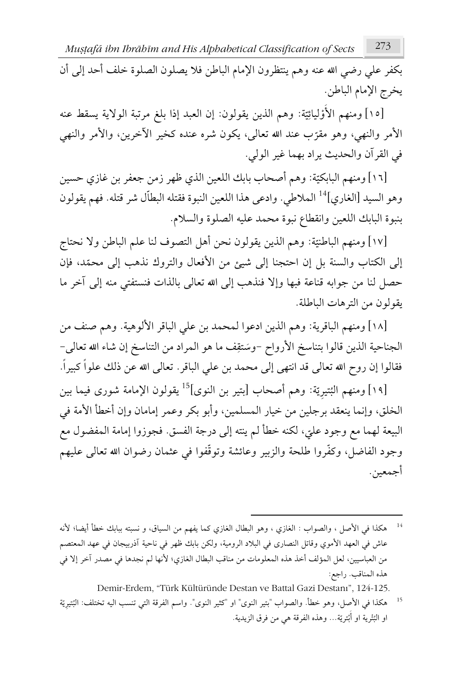*Muṣṭafá ibn Ibrāhīm and His Alphabetical Classification of Sects* 273

بكفر على رضي الله عنه وهم ينتظرون الإمام الباطن فلا يصلون الصلوة خلف أحد إلى أن يخرج الإمام الباطن.

[١٥] ومنهم الأوْليائِيّة: وهم الذين يقولون: إن العبد إذا بلغ مرتبة الولاية يسقط عنه <u>بہ</u> ِ **ٔ** الأمر والنهي، وهو مقرّب عند الله تعالى، يكون شره عنده كخير الآخرين، والأمر والنهي في القرآن والحديث يراد بهما غير الولي.

[١٦] ومنهم البابكيّة: وهم أصحاب بابك اللعين الذي ظهر زمن جعفر بن غازي حسين Ĭ. وهو السيد [الغاري]<sup>14</sup> الملاطي. وادعى هذا اللعين النبوة فقتله البطاّل شر قتله. فهم يقولون بنبوة البابك اللعين وانقطاع نبوة محمد عليه الصلوة والسلام.

[١٧] ومنهم الباطنيّة: وهم الذين يقولون نحن أهل التصوف لنا علم الباطن ولا نحتاج .<br>ا إلى الكتاب والسنة بل إن احتجنا إلى شيئ من الأفعال والتروك نذهب إلى محمّد، فإن **م** حصل لنا من جوابه قناعة فبها وإلا فنذهب إلى الله تعالى بالذات فنستفتى منه إلى آخر ما يقولون من الترهات الباطلة.

[١٨] ومنهم الباقرية: وهم الذين ادعوا لمحمد بن على الباقر الألوهية. وهم صنف من الجناحية الذين قالوا بتناسخ الأرواح –وسَتقِف ما هو المراد من التناسخ إن شاء الله تعالى– َ فقالوا إن روح الله تعالى قد انتهى إلى محمد بن علي الباقر. تعالى الله عن ذلك علوا كبيرا.

[١٩] ومنهم البُتيرِيّة: وهم أصحاب [بتير بن النوى]<sup>15</sup>يقولون الإمامة شورى فيما بين ؘ<del>ؚ</del> .<br>ا الخلق، وإنما ينعقد برجلين من خيار المسلمين، وأبو بكر وعمر إمامان وإن أخطأ الأمة في البيعة لهما مع وجود عليّ، لكنه خطأ لم ينته إلى درجة الفسق. فجوزوا إمامة المفضول مع **:** وجود الفاضل، وكفّروا طلحة والزبير وعائشة وتوقّفوا في عثمان رضوان الله تعالى عليهم أجمعين.

Demir-Erdem, "Türk Kültüründe Destan ve Battal Gazi Destanı", 124-125.

هكذا في الأصل ، والصواب : الغازي ، وهو البطال الغازي كما يفهم من السياق، و نسبته ببابك خطأ أيضا؛ لأنه عاش في العهد الأموي وقاتل النصارى في البلاد الرومية، ولكن بابك ظهر في ناحية آذربيجان في عهد المعتصم من العباسيين، لعل المؤلف أخذ هذه المعلومات من مناقب البطال الغازي؛ لأنها لم نجدها في مصدر آخر إلا في هذه المناقب. راجع:

 $^{\rm 15}$  هكذا في الأصل، وهو خطأ. والصواب "بتير النوى" او "كثير النوى". واسم الفرقة التي تنسب اليه تختلف: البُتيريّة ֖֖֖֖֖֖֖֖֖֧֖֧֧֧֪֪֪ׅ֧ׅ֧֪ׅ֧֪ׅ֧֚֚֚֚֚֚֚֚֚֚֚֚֚֚֚֚֡֡֡֬֬֝֟֓֡֬֬֟֓֡֬֬֩֕֓֟֓֡֬֓֓֬֬֬֩֓֓֬֬֓<del>֛</del> ؘ<br>ۘ او البُتْرية او أَبْتريّة… وهذه الفرقة هي من فرق الزيدية. **: ٔ** <u>:</u> ٔ.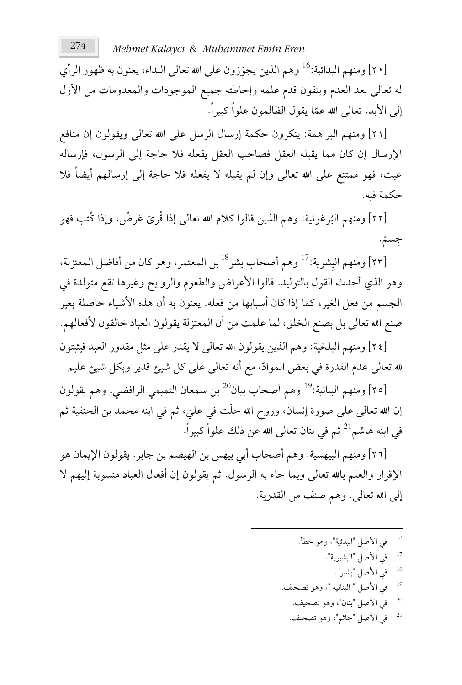[٢٠] ومنهم البدائية:<sup>16</sup> وهم الذين يجوّزون على الله تعالى البداء، يعنون به ظهور الرأي ّ له تعالى بعد العدم وينفون قدم علمه وإحاطته جميع الموجودات والمعدومات من الأزل إلى الأبد. تعالى الله عمّا يقول الظالمون علوا كبيرا. **م** 

[٢١] ومنهم البراهمة: ينكرون حكمة إرسال الرسل على الله تعالى ويقولون إن منافع الإرسال إن كان مما يقبله العقل فصاحب العقل يفعله فلا حاجة إلى الرسول، فإرساله عبث، فهو ممتنع على الله تعالى وإن لم يقبله لا يفعله فلا حاجة إلى إرسالهم أيضاً فلا حكمة فىه.

[٢٢] ومنهم البُرغوثية: وهم الذين قالوا كلام الله تعالى إذا قُرئ عَرضٌ، وإذا كُتب فهو .<br>أ جِسمٌ. î,

[٢٣] ومنهم البشرية:<sup>17</sup> وهم أصحاب بشر<sup>18</sup>بن المعتمر، وهو كان من أفاضل المعتزلة، وهو الذي أحدث القول بالتوليد. قالوا الأعراض والطعوم والروايح وغيرها تقع متولدة في الجسم من فعل الغير، كما إذا كان أسبابها من فعله. يعنون به أن هذه الأشياء حاصلة بغير صنع الله تعالى بل بصنع الخلق، لما علمت من ان المعتزلة يقولون العباد خالقون لأفعالهم.

[٢٤] ومنهم البلخية: وهم الذين يقولون الله تعالى لا يقدر على مثل مقدور العبد فيثبتون لله تعالى عدم القدرة في بعض الموادّ، مع أنه تعالى على كل شيئ قدير وبكل شيئ عليم.

[٢٥] ومنهم البيانية:<sup>19</sup> وهم أصحاب بيان<sup>20</sup> بن سمعان التميمي الرافضي. وهم يقولون إن الله تعالى على صورة إنسان، وروح الله حلت في عليّ، ثم في ابنه محمد بن الحنفية ثم ֖֖֖֖ׅ֖֖֧֚֚֚֚֚֚֚֚֚֚֡֡֡֡֡֡֬֬<u>֚</u> في ابنه هاشم<sup>21</sup> ثم في بنان تعالى الله عن ذلك علواً كبيراً.

[٢٦] ومنهم البيهسية: وهم أصحاب أبي بيهس بن الهيضم بن جابر. يقولون الإيمان هو الإقرار والعلم بالله تعالى وبما جاء به الرسول. ثم يقولون إن أفعال العباد منسوبة إليهم لا إلى الله تعالى. وهم صنف من القدرية.

- في الأصل "البدئية"، وهو خطأ.
	- <sup>17</sup> في الأصل "البشيرية". في الأصل "بشير".  $^{18}$
	- 19
- في الأصل " البنانية "، وهو تصحيف. 20
	- في الأصل "بنان"، وهو تصحيف. 21
	- في الأصل "جاثم"، وهو تصحيف.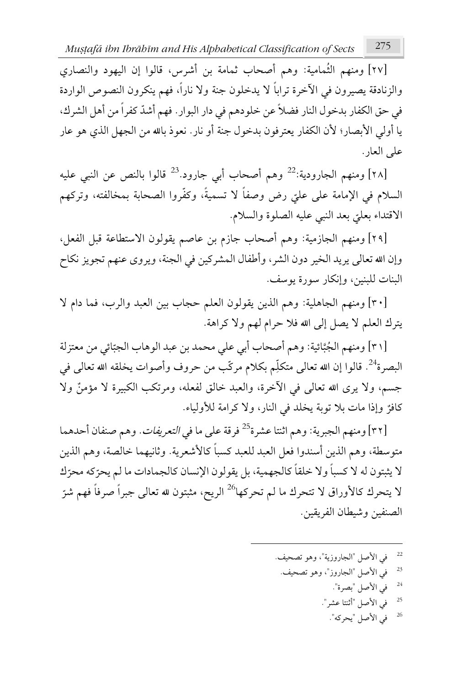*Muṣṭafá ibn Ibrāhīm and His Alphabetical Classification of Sects* 275

[٢٧] ومنهم الثَمامية: وهم أصحاب ثمامة بن أشرس، قالوا إن اليهود والنصاري والزنادقة يصيرون في الأخرة ترابا لا يدخلون جنة ولا نارا، فهم ينكرون النصوص الواردة في حق الكفار بدخول النار فضلاً عن خلودهم في دار البوار. فهم أشدّ كفرا من أهل الشرك، يا أولى الأبصار؛ لأن الكفار يعترفون بدخول جنة أو نار. نعوذ بالله من الجهل الذي هو عار على العار.

[٢٨] ومنهم الجارودية:<sup>22</sup> وهم أصحاب أبي جارود.<sup>23</sup> قالوا بالنص عن النبي عليه Ĭ. السلام في الإمامة على علىّ رض وصفاً لا تسميةً، وكفّروا الصحابة بمخالفته، وتركهم الاقتداء بعليّ بعد النبي عليه الصلوة والسلام. **.** 

[٢٩] ومنهم الجازمية: وهم أصحاب جازم بن عاصم يقولون الاستطاعة قبل الفعل، وإن الله تعالى يريد الخير دون الشر، وأطفال المشركين في الجنة، ويروى عنهم تجويز نكاح البنات للبنين، وإنكار سورة يوسف.

[٣٠] ومنهم الجاهلية: وهم الذين يقولون العلم حجاب بين العبد والرب، فما دام لا يترك العلم لا يصل إلى الله فلا حرام لهم ولا كراهة.

[٣١] ومنهم الجُبَّائية: وهم أصحاب أبي على محمد بن عبد الوهاب الجبّائي من معتزلة **:** ƪ .<br>. البصرة<sup>24</sup>. قالوا إن الله تعالى متكلِّم بكلام مركّب من حروف وأصوات يخلقه الله تعالى في جسم، ولا يرى الله تعالى في الآخرة، والعبد خالق لفعله، ومرتكب الكبيرة لا مؤمنٌ ولا كافرٌ وإذا مات بلا توبة يخلد في النار، ولا كرامة للأولياء. ُمُ<br>ُ

[٣٢] ومنهم الجبرية: وهم اثنتا عشرة<sup>25</sup> فرقة على ما في *التعريفات.* وهم صنفان أحدهما متوسطة، وهم الذين أسندوا فعل العبد للعبد كسباً كالأشعرية. وثانيهما خالصة، وهم الذين لا يثبتون له لا كسبا ولا خلقا كالجهمية، بل يقولون الإنسان كالجمادات ما لم يحرّكه محرّك .<br>ن ز<br>ا لا يتحرك كالأوراق لا تتحرك ما لـم تحركها<sup>26</sup> الريح، مثبتون لله تعالى جبراً صرفاً فهم شرّ الصنفين وشيطان الفريقين.

- 22 في الأصل "الجاروزية"، وهو تصحيف. 23
	- في الأصل "الجاروز"، وهو تصحيف.
		- في الأصل "بصرة".  $^{24}$
		- <sup>25</sup> في الأصل "أثنتا عشر". في الأصل "يحركه".  $^{26}$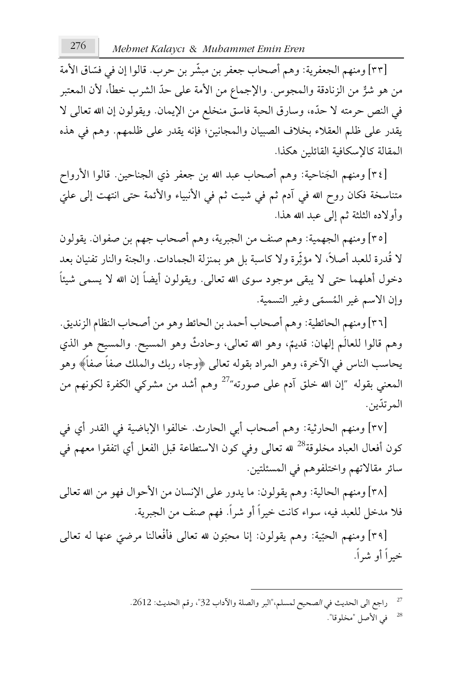[٣٣] ومنهم الجعفرية: وهم أصحاب جعفر بن مبشَّر بن حرب. قالوا إن في فسَّاق الأمة .<br>ا من هو شرٌّ من الزنادقة والمجوس. والإجماع من الأمة على حدّ الشرب خطأ، لأن المعتبر ƭ في النص حرمته لا حدّه، وسارق الحبة فاسق منخلع من الإيمان. ويقولون إن الله تعالى لا يقدر على ظلم العقلاء بخلاف الصبيان والمجانين؛ فإنه يقدر على ظلمهم. وهم في هذه المقالة كالإسكافية القائلين هكذا.

[٣٤] ومنهم الجَناحية: وهم أصحاب عبد الله بن جعفر ذي الجناحين. قالوا الأرواح .<br>. **∶** متناسخة فكان روح الله في آدم ثم في شيت ثم في الأنبياء والأئمة حتى انتهت إلى عليّ وأولاده الثلثة ثم إلى عبد الله هذا.

[٣٥] ومنهم الجهمية: وهم صنف من الجبرية، وهم أصحاب جهم بن صفوان. يقولون لا قُدرة للعبد أصلاً، لا مؤثِّرة ولا كاسبة بل هو بمنزلة الجمادات. والجنة والنار تفنيان بعد : دخول أهلهما حتى لا يبقى موجود سوى الله تعالى. ويقولون أيضاً إن الله لا يسمى شيئاً وإن الاسم غير المُسمّى وغير التسمية. **م ُ** 

[٣٦] ومنهم الحائطية: وهم أصحاب أحمد بن الحائط وهو من أصحاب النظام الزنديق. وهم قالوا للعالم إلهان: قديمٌ، وهو الله تعالى، وحادثٌ وهو المسيح. والمسيح هو الذي î يحاسب الناس في الآخرة، وهو المراد بقوله تعالى ﴿وجاء ربك والملك صفاً صفاً﴾ وهو المعنى بقوله ″إن الله خلق آدم على صورته″<sup>27</sup> وهم أشد من مشركي الكفرة لكونهم من المرتدّين.

[٣٧] ومنهم الحارثية: وهم أصحاب أبي الحارث. خالفوا الإباضية في القدر أي في كون أفعال العباد مخلوقة<sup>28</sup> لله تعالى وفي كون الاستطاعة قبل الفعل أي اتفقوا معهم في سائر مقالاتهم واختلفوهم في المسئلتين.

r٨] ومنهم الحالية: وهم يقولون: ما يدور على الإنسان من الأحوال فهو من الله تعالى فلا مدخل للعبد فيه، سواء كانت خيرا أو شرا. فهم صنف من الجبرية.

[٣٩] ومنهم الحبّية: وهم يقولون: إنا محبّون لله تعالى فأفعالنا مرضيّ عنها له تعالى ֖֖֖֖֚֚֚֚֡֡֡֬֬֬֓֬֓֕֓֬֓֬֓֬֓֬֓֬֝֬֓֬֝֬֓֬֓֬֓֓֬֓֓֬֓֓֬֓֓֬֓֓֬֓֬֓֓֬֝֬ .<br>أ .<br>أ خيرا أو شرا.

> 27 راجع الى الحديث ف*ي الصحيح* لمسلم،"البر والصلة والأداب 32"، رقم الحديث: 2612. في الأصل "مخلوقا".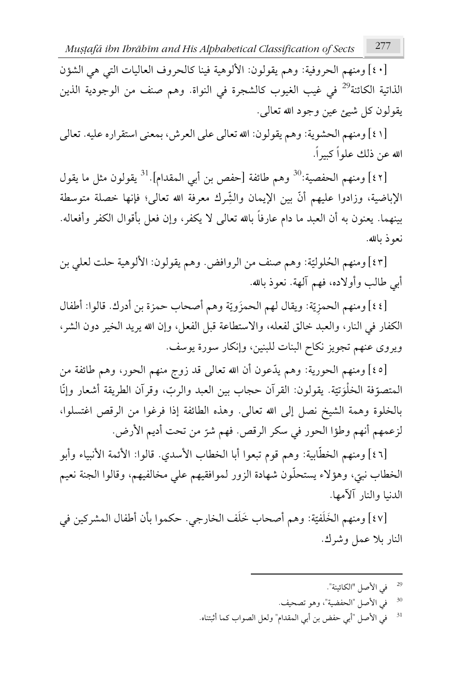*Muṣṭafá ibn Ibrāhīm and His Alphabetical Classification of Sects* 277

[٤٠] ومنهم الحروفية: وهم يقولون: الألوهية فينا كالحروف العاليات التي هي الشؤن الذاتية الكائنة<sup>29</sup> في غيب الغيوب كالشجرة في النواة. وهم صنف من الوجودية الذين يقولون كل شيئ عين وجود الله تعالى.

[٤١] ومنهم الحشوية: وهم يقولون: الله تعالى على العرش، بمعنى استقراره عليه. تعالى الله عن ذلك علوا كبيرا.

[٤٢] ومنهم الحفصية:<sup>30</sup> وهم طائفة [حفص بن أبي المقدام].<sup>31</sup> يقولون مثل ما يقول الإباضية، وزادوا عليهم أنّ بين الإيمان والشِّرك معرفة الله تعالى؛ فإنها خصلة متوسطة بينهما. يعنون به أن العبد ما دام عارفاً بالله تعالى لا يكفر، وإن فعل بأقوال الكفر وأفعاله. نعوذ بالله.

[٤٣] ومنهم الحُلوليّة: وهم صنف من الروافض. وهم يقولون: الألوهية حلت لعلي بن .<br>ا ُ أبي طالب وأولاده، فهم آلهة. نعوذ بالله.

[٤٤] ومنهم الحمزِيّة: ويقال لهم الحمزَويّة وهم أصحاب حمزة بن أدرك. قالوا: أطفال **: :** الكفار في النار، والعبد خالق لفعله، والاستطاعة قبل الفعل، وإن الله يريد الخير دون الشر، ويروى عنهم تجويز نكاح البنات للبنين، وإنكار سورة يوسف.

[٤٥] ومنهم الحورية: وهم يدّعون أن الله تعالى قد زوج منهم الحور، وهم طائفة من .<br>ا المتصوّفة الخلوَتيّة. يقولون: القرآن حجاب بين العبد والربّ، وقرآن الطريقة أشعار وإنّا <u>י</u> Ĭ. َ ٔ<br>. بالخلوة وهمة الشيخ نصل إلى الله تعالى. وهذه الطائفة إذا فرغوا من الرقص اغتسلوا، لزعمهم أنهم وطؤا الحور في سكر الرقص. فهم شرّ من تحت أديم الأرض. .<br>.

[٤٦] ومنهم الخطّابية: وهم قوم تبعوا أبا الخطاب الأسدي. قالوا: الأئمة الأنبياء وأبو الخطاب نبتي، وهؤلاء يستحلون شهادة الزور لموافقيهم علي مخالفيهم، وقالوا الجنة نعيم **.** الدنيا والنار آلآمها.

[٤٧] ومنهم الخُلفيّة: وهم أصحاب خُلف الخارجي. حكموا بأن أطفال المشركين في <u>بہ</u> النار بلا عمل وشرك.

- <sup>29</sup> في الأصل "الكائينة".
- قى الأصل "الحفضية"، وهو تصحيف.  $^{30}$
- <sup>31</sup> في الأصل "أبي حفض بن أبي المقدام" ولعل الصواب كما أثبتناه.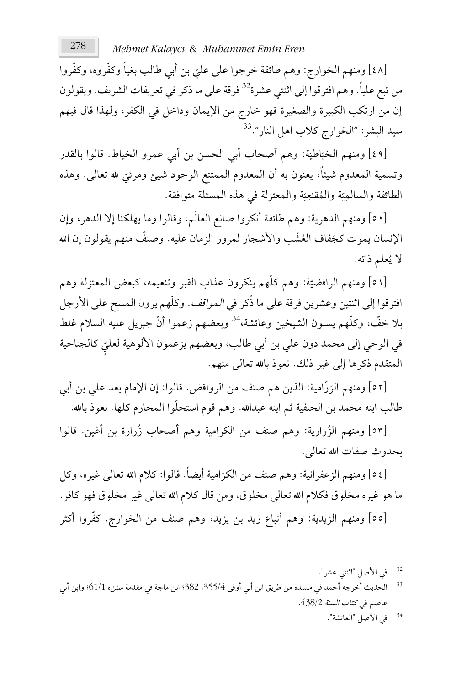[٤٨] ومنهم الخوارج: وهم طائفة خرجوا على عليّ بن أبي طالب بغيا وكفّروه، وكفّروا **:** من تبع علياً. وهم افترقوا إلى اثنتي عشرة<sup>32</sup> فرقة على ما ذكر في تعريفات الشريف. ويقولون إن من ارتكب الكبيرة والصغيرة فهو خارج من الإيمان وداخل في الكفر، ولهذا قال فيهم سيد البشر: "الخوارج كلاب اهل النار"<sup>33</sup>

[٤٩] ومنهم الخيّاطيّة: وهم أصحاب أبي الحسن بن أبي عمرو الخياط. قالوا بالقدر Ĭ. .<br>. وتسمية المعدوم شيئا، يعنون به أن المعدوم الممتنع الوجود شيئ ومرئتي لله تعالى. وهذه ֖֖֖֖֚֚֚֚֡֡֡֬֬֬֓֬֓֕֓֬֓֬֓֬֓֬֓֬֝֬֓֬֝֬֓֬֓֬֓֓֬֓֓֬֓֓֬֓֓֬֓֓֬֓֬֓֓֬֝֬ الطائفة والسالمِيّة والمُقنعِيّة والمعتزلة في هذه المسئلة متوافقة. Ĭ. ُ .<br>ا

[٥٠] ومنهم الدهرية: وهم طائفة أنكروا صانع العالَم، وقالوا وما يهلكنا إلا الدهر، وإن الإنسان يموت كجَفاف العُشْب والأشجار لمرور الزمان عليه. وصنفَ منهم يقولون إن الله ٔ<br>ٔ <u>م</u> لا يُعلم ذاته. .<br>ا

[٥١] ومنهم الرافضيّة: وهم كلهم ينكرون عذاب القبر وتنعيمه، كبعض المعتزلة وهم .<br>ا افترقوا إلى اثنتين وعشرين فرقة على ما ذُكر ف*ي المواقف*. وكلّهم يرون المسح على الأرجل بلا خفّ، وكلّهم يسبون الشيخين وعائشة،<sup>34</sup> وبعضهم زعموا أنّ جبريل عليه السلام غلط في الوحي إلى محمد دون علي بن أبي طالب، وبعضهم يزعمون الألوهية لعليّ كالجناحية ّ المتقدم ذكرها إلى غير ذلك. نعوذ بالله تعالى منهم.

[٥٢] ومنهم الزَزَّامية: الذين هم صنف من الروافض. قالوا: إن الإمام بعد علي بن أبي .<br>. طالب ابنه محمد بن الحنفية ثم ابنه عبدالله. وهم قوم استحلُّوا المحارم كلها. نعوذ بالله.

[٥٣] ومنهم الزُرارية: وهم صنف من الكرامية وهم أصحاب زُرارة بن أُغين. قالوا ِّ. بحدوث صفات الله تعالى.

[٥٤] ومنهم الزعفرانية: وهم صنف من الكرّامية أيضًا. قالوا: كلام الله تعالى غيره، وكل .<br>. ما هو غيره مخلوق فكلام الله تعالى مخلوق، ومن قال كلام الله تعالى غير مخلوق فهو كافر.

[٥٥] ومنهم الزيدية: وهم أتباع زيد بن يزيد، وهم صنف من الخوارج. كفَّروا أكثر

في الأصل "اثنتي عشر".  $^{32}$ 

33 الحديث أخرجه أحمد في مسنده من طريق ابن أبي أوفي 355/4، 382؛ ابن ماجة في مقدمة سنن0 1/1)؛ وابن أبي عاصم في كتا*ب السنة 438/2.* 

<sup>34</sup> في الأصل "العائشة".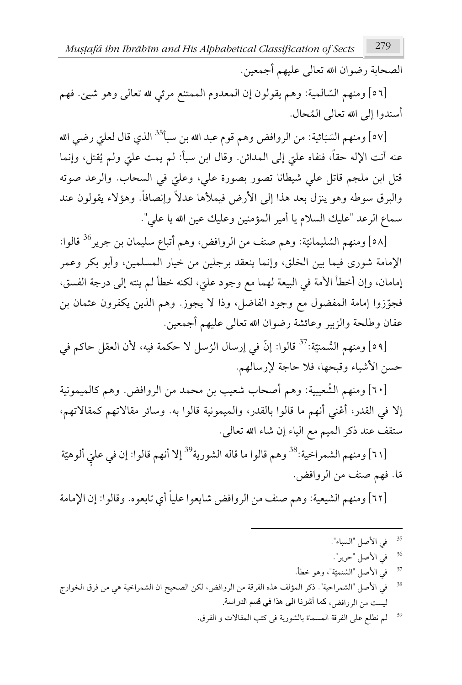*Muṣṭafá ibn Ibrāhīm and His Alphabetical Classification of Sects* 279

الصحابة رضوان الله تعالى عليهم أجمعين.

[٥٦] ومنهم السّالمية: وهم يقولون إن المعدوم الممتنع مرئي لله تعالى وهو شيئ. فهم ٚ أسندوا إلى الله تعالى المُحال. ُ

[٥٧] ومنهم السَبَائية: من الروافض وهم قوم عبد الله بن سبأ<sup>35</sup> الذي قال لعليّ رضي الله ֖֚֚֝֝֝֝֝֝֝֝֝֝֝֝֝֝֝<del>֖</del> ٔ ب **∶** عنه أنت الإله حقا، فنفاه عليّ إلى المدائن. وقال ابن سبأ: لم يمت عليّ ولم يُقتل، وإنما Ĭ. اب<br>ا ֖֖֖֖֚֚֚֚֡֡֡֬֬֬֓֬֓֕֓֬֓֬֓֬֓֬֓֬֝֬֓֬֝֬֓֬֓֬֓֓֬֓֓֬֓֓֬֓֓֬֓֓֬֓֬֓֓֬֝֬ قتل ابن ملجم قاتل علي شيطانا تصور بصورة علي، وعليّ في السحاب. والرعد صوته ֦֖֝֓֝֬֝֬֓֝֬֓֓֝֬֓֓֬֓֓**֓** والبرق سوطه وهو ينزل بعد هذا إلى الأرض فيملأها عدلاً وإنصافاً. وهؤلاء يقولون عند سماع الرعد "عليك السلام يا أمير المؤمنين وعليك عين الله يا على".

[٥٨] ومنهم السُليمانيّة: وهم صنف من الروافض، وهم أتباع سليمان بن جرير<sup>36</sup> قالوا: Ĭ. ا<br>ا الإمامة شورى فيما بين الخلق، وإنما ينعقد برجلين من خيار المسلمين، وأبو بكر وعمر إمامان، وإن أخطأ الأمة في البيعة لهما مع وجود عليّ، لكنه خطأ لم ينته إلى درجة الفسق، **∶** فجوّزوا إمامة المفضول مع وجود الفاضل، وذا لا يجوز. وهم الذين يكفرون عثمان بن عفان وطلحة والزبير وعائشة رضوان الله تعالى عليهم أجمعين.

[٥٩] ومنهم السُّمنيّة:<sup>37</sup> قالوا: إنّ في إرسال الرُسل لا حكمة فيه، لأن العقل حاكم في Ĭ. ƫ .<br>ن حسن الأشياء وقبحها، فلا حاجة لإرسالهم.

[٦٠] ومنهم الشُعيبية: وهم أصحاب شعيب بن محمد من الروافض. وهم كالميمونية إلا في القدر، أُعْني أنهم ما قالوا بالقدر، والميمونية قالوا به. وسائر مقالاتهم كمقالاتهم، ستقف عند ذكر الميم مع الياء إن شاء الله تعالى.

[٦١] ومنهم الشمراخية:<sup>38</sup> وهم قالوا ما قاله الشورية<sup>39</sup> إلا أنهم قالوا: إن في عليّ ألوهيّة ∶' ֧֦֦֦֦֦֦֧֧֧֦֧֦֧֝֝֝֝֝֝֝֬֬֝֬֬֓֟֓֟֓֬֬֓֬֬֬֓֬֓֟֓֬֬֓֟֓֬֬֓֬֓֬֓֬֓֟֓֝֬֬֬֬֬֬ ٔ مّا. فهم صنف من الروافض.

[٦٢] ومنهم الشيعية: وهم صنف من الروافض شايعوا علياً أي تابعوه. وقالوا: إن الإمامة

- <sup>35</sup> في الأصل "السباء".
- <sup>36</sup> في الأصل "حرير".
- <sup>37</sup> في الأصل "السُنميّة"، وهو خطأ. Ĭ. ٔ ب
- ق الأصل "الشمراحية". ذكر المؤلف هذه الفرقة من الروافض، لكن الصحيح ان الشمراخية هي من فرق الخوارج . ليست من الروافض، كما أشرنا الى هذا في قسم الدراسة.
	- 39 لم نطلع على الفرقة المسماة بالشورية في كتب المقالات و الفرق.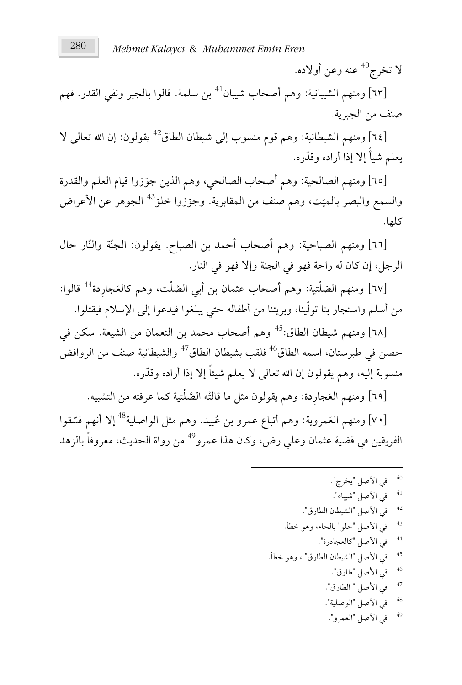لا تخرج<sup>40</sup> عنه وعن أولاده.

[٦٣] ومنهم الشيبانية: وهم أصحاب شيبان<sup>41</sup> بن سلمة. قالوا بالجبر ونفي القدر. فهم صنف من الجبرية.

[٦٤] ومنهم الشيطانية: وهم قوم منسوب إلى شيطان الطاق<sup>42</sup> يقولون: إن الله تعالى لا يعلم شيأ إلا إذا أراده وقدّره.

[٦٥] ومنهم الصالحية: وهم أصحاب الصالحي، وهم الذين جوّزوا قيام العلم والقدرة ؙ ؙ والسمع والبصر بالميّت، وهم صنف من المقابرية. وجوّزوا خلوّ<sup>43</sup> الجوهر عن الأعراض ؙ كلها.

[٦٦] ومنهم الصباحية: وهم أصحاب أحمد بن الصباح. يقولون: الجنّة والنّار حال ; <u>:</u> الرجل، إن كان له راحة فهو في الجنة وإلا فهو في النار.

[٦٧] ومنهم الصَّلْتية: وهم أصحاب عثمان بن أبي الصَّلْت، وهم كالعَجارِدة<sup>44</sup> قالوا: َ ƪ **م** من أسلم واستجار بنا تولّينا، وبريئنا من أطفاله حتى يبلغوا فيدعوا إلى الإسلام فيقتلوا.

[٦٨] ومنهم شيطان الطاق:<sup>45</sup> وهم أصحاب محمد بن النعمان من الشيعة. سكن في حصن في طبرستان، اسمه الطاق<sup>46</sup> فلقب بشيطان الطاق<sup>47</sup> والشيطانية صنف من الروافض منسوبة إليه، وهم يقولون إن الله تعالى لا يعلم شيئا إلا إذا أراده وقدّره.

[٦٩] ومنهم العَجارِدة: وهم يقولون مثل ما قالتْه الصَّلْتية كما عرفته من التشبيه. ƪ ٙ َ

[٧٠] ومنهم العَمروية: وهم أتباع عمرو بن عُبيد. وهم مثل الواصلية<sup>48</sup>إلا أنهم فسّقوا ُ َ .<br>أ الفريقين في قضية عثمان وعلى رض، وكان هذا عمرو<sup>49</sup> من رواة الحديث، معروفاً بالزهد

> في الأصل "يخرج". في الأصل "شيباء".  $^{42}$ في الأصل "الشيطان الطارق". في الأصل "حلو" بالحاء، وهو خطأ.  $^{43}$ <sup>44</sup> في الأصل "كالعجادرة".  $^{45}$ في الأصل "الشيطان الطارق" ، وهو خطأ. في الأصل "طارق".  $^{46}$ <sup>47</sup> في الأصل " الطارق". في الأصل "الوصلية". <sup>49</sup> في الأصل "العمرو".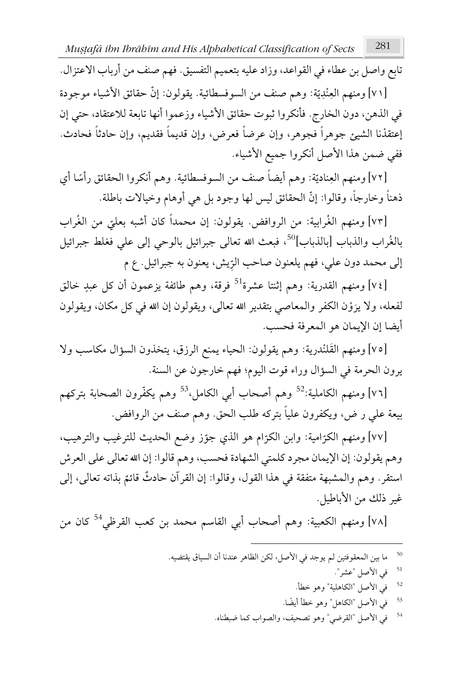*Muṣṭafá ibn Ibrāhīm and His Alphabetical Classification of Sects* 281

تابع واصل بن عطاء في القواعد، وزاد عليه بتعميم التفسيق. فهم صنف من أرباب الاعتزال.

[٧١] ومنهم العِنْدِيّة: وهم صنف من السوفسطائية. يقولون: إنّ حقائق الأشياء موجودة **:** <u>:</u> في الذهن، دون الخارج. فأنكروا ثبوت حقائق الأشياء وزعموا أنها تابعة للاعتقاد، حتى إن  $\overline{a}$ إعتقدْنا الشيئ جوهرا فجوهر، وإن عرضا فعرض، وإن قديما فقديم، وإن حادثا فحادث. ففي ضمن هذا الأصل أنكروا جميع الأشياء.

[٧٢] ومنهم العِناديّة: وهم أيضاً صنف من السوفسطائية. وهم أنكروا الحقائق رأسًا أي ً **:** ذهنا وخارجا، وقالوا: إنَّ الحقائق ليس لها وجود بل هي أوهام وخيالات باطلة.

[٧٣] ومنهم الغُرابية: من الروافض. يقولون: إن محمدا كان أشبه بعليّ من الغُراب .<br>أ ّ بالغُراب والذباب [بالذباب<sup>50</sup>، فبعث الله تعالى جبرائيل بالوحي إلى علي فغلط جبرائيل إلى محمد دون علي، فهم يلعنون صاحب الرّيش، يعنون به جبرائيل. ع م .<br>.

[٧٤] ومنهم القدرية: وهم إثنتا عشرة<sup>51</sup> فرقة، وهم طائفة يزعمون أن كل عبدٍ خالق لفعله، ولا يرَوْن الكفر والمعاصي بتقدير الله تعالى، ويقولون إن الله في كل مكان، ويقولون .<br>. أيضا إن الإيمان هو المعرفة فحسب.

[٧٥] ومنهم القُلنْدرية: وهم يقولون: الحياء يمنع الرزق، يتخذون السؤال مكاسب ولا <u>:</u> يرون الحرمة في السؤال وراء قوت اليوم؛ فهم خارجون عن السنة.

[٧٦] ومنهم الكاملية:<sup>52</sup> وهم أصحاب أبي الكامل<sup>53</sup> وهم يكفّرون الصحابة بتركهم بيعة على ر ض، ويكفرون علياً بتركه طلب الحق. وهم صنف من الروافض.

[٧٧] ومنهم الكرّامية: وابن الكرّام هو الذي جوّز وضع الحديث للترغيب والترهيب، ر<br>. .<br>. **ـ** وهم يقولون: إن الإيمان مجرد كلمتى الشهادة فحسب، وهم قالوا: إن الله تعالى على العرش استقر. وهم والمشبهة متفقة في هذا القول، وقالوا: إن القرآن حادثَ قائمٌ بذاته تعالى، إلى **ٔ** غير ذلك من الأباطيل.

[v۸] ومنهم الكعبية: وهم أصحاب أبي القاسم محمد بن كعب القرظي<sup>54</sup> كان من

- 50 ما بين المعقوفتين لم يوجد في الأصل، لكن الظاهر عندنا أن السياق يقتضيه.
	- <sup>51</sup> في الأصل "عشر".
	- 52 في الأصل "الكاهلية" وهو خطأ.
	- <sup>53</sup> في الأصل "الكاهل" وهو خطأ أيضًا.<br><sup>54</sup> مثالثات الثاقيف المعدية صرفين
	- في الأصل "القرضي" وهو تصحيف، والصواب كما ضبطناه.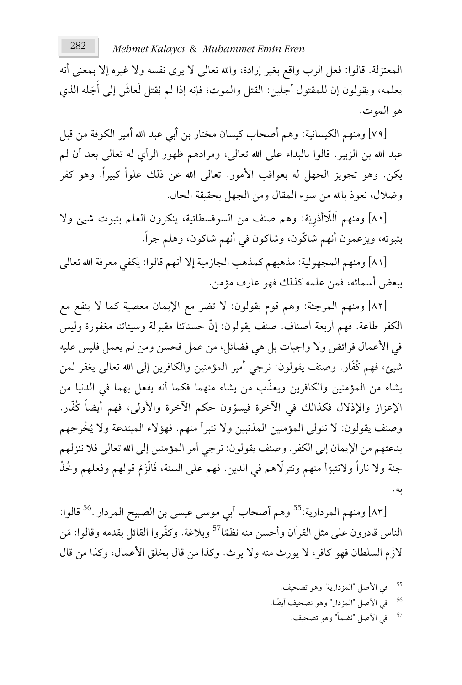المعتزلة. قالوا: فعل الرب واقع بغير إرادة، والله تعالى لا يرى نفسه ولا غيره إلا بمعنى أنه يعلمه، ويقولون إن للمقتول أجلين: القتل والموت؛ فإنه إذا لم يُقتل لُعاشُ إلى أجَله الذي ؘ .<br>ا هو الموت.

[٧٩] ومنهم الكيسانية: وهم أصحاب كيسان مختار بن أبي عبد الله أمير الكوفة من قبل عبد الله بن الزبير. قالوا بالبداء على الله تعالى، ومرادهم ظهور الرأى له تعالى بعد أن لم يكن. وهو تجويز الجهل له بعواقب الأمور. تعالى الله عن ذلك علوا كبيرا. وهو كفر وضلال، نعوذ بالله من سوء المقال ومن الجهل بحقيقة الحال.

[٨٠] ومنهم اللاأُدْرِيّة: وهم صنف من السوفسطائية، ينكرون العلم بثبوت شيئ ولا **: ٔ** بثبوته، ويزعمون أنهم شاكّون، وشاكون في أنهم شاكون، وهلم جرا.

[٨١] ومنهم المجهولية: مذهبهم كمذهب الجازمية إلا أنهم قالوا: يكفى معرفة الله تعالى ببعض أسمائه، فمن علمه كذلك فهو عارف مؤمن.

[٨٢] ومنهم المرجئة: وهم قوم يقولون: لا تضر مع الإيمان معصية كما لا ينفع مع الكفر طاعة. فهم أربعة أصناف. صنف يقولون: إنّ حسناتنا مقبولة وسيئاتنا مغفورة وليس في الأعمال فرائض ولا واجبات بل هي فضائل، من عمل فحسن ومن لم يعمل فليس عليه شيئ، فهم كُفَّار. وصنف يقولون: نرجي أمير المؤمنين والكافرين إلى الله تعالى يغفر لمن يشاء من المؤمنين والكافرين ويعذّب من يشاء منهما فكما أنه يفعل بهما في الدنيا من الإعزاز والإذلال فكذالك في الأخرة فيسوّون حكم الأخرة والأولى، فهم أيضا كَفَار. ؙ وصنف يقولون: لا نتولى المؤمنين المذنبين ولا نتبرأ منهم. فهؤلاء المبتدعة ولا يُخْرجهم ب<br>: بدعتهم من الإيمان إلى الكفر . وصنف يقولون: نرجى أمر المؤمنين إلى الله تعالى فلا ننزلهم جنة ولا نارا ولانتبرّأ منهم ونتولاهم في الدين. فهم على السنة، فَالزَمْ قولهم وفعلهم وخَذ ْ :<br>نم .<br>. .įÖ

[٨٣] ومنهم المردارية:<sup>55</sup> وهم أصحاب أبي موسى عيسى بن الصبيح المردار .<sup>56</sup> قالوا: الناس قادرون على مثل القرآن وأحسن منه نظمًا<sup>57</sup> وبلاغة. وكفّروا القائل بقدمه وقالوا: مَن ً َ لأزَم السلطان فهو كافر، لا يورث منه ولا يرث. وكذا من قال بخلق الأعمال، وكذا من قال

- في الأصل "المزدارية" وهو تصحيف.
- في الأصل "المزدار" وهو تصحيف أيضًا.
	- <sup>57</sup> في الأصل "نضماً" وهو تصحيف.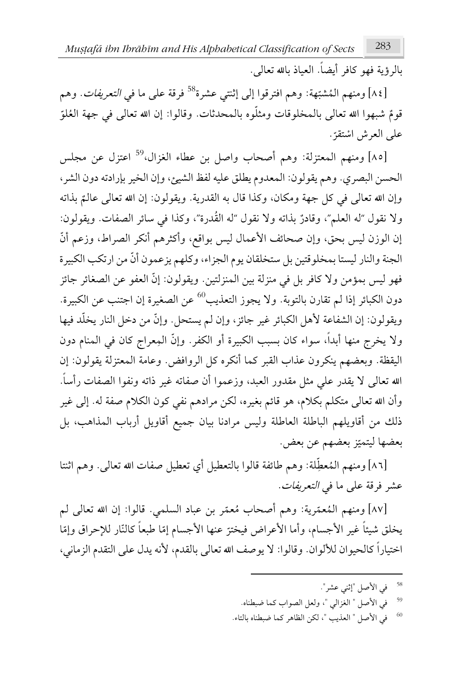*Muṣṭafá ibn Ibrāhīm and His Alphabetical Classification of Sects* 283

يالرؤية فهو كافر أيضاً. العياذ بالله تعالى.

[٨٤] ومنهم المُشْبّهة: وهم افترقوا إلى إثنتي عشرة<sup>58</sup> فرقة على ما ف*ي التعريفات*. وهم ؘ<br>ؖ **ُ** ؙ قومٌ شبهوا الله تعالى بالمخلوقات ومثلوه بالمحدثات. وقالوا: إن الله تعالى في جهة العُلوّ ُ ٌ على العرش اشتقرّ. **ـ** ْ

[٨٥] ومنهم المعتزلة: وهم أصحاب واصل بن عطاء الغزال،<sup>59</sup> اعتزل عن مجلس الحسن البصري. وهم يقولون: المعدوم يطلق عليه لفظ الشيئ، وإن الخير بإرادته دون الشر، وإن الله تعالى في كل جهة ومكان، وكذا قال به القدرية. ويقولون: إن الله تعالى عالـمٌ بذاته **ٌ** ولا نقول "له العلم"، وقادرٌ بذاته ولا نقول "له القَدرة"، وكذا في سائر الصفات. ويقولون: ٌ إن الوزن ليس بحق، وإن صحائف الأعمال ليس بواقع، وأكثرهم أنكر الصراط، وزعم أنّ الجنة والنار ليستا بمخلوقتين بل ستخلقان يوم الجزاء، وكلهم يزعمون أنّ من ارتكب الكبيرة فهو ليس بمؤمن ولا كافر بل في منزلة بين المنزلتين. ويقولون: إنّ العفو عن الصغائر جائز دون الكبائر إذا لم تقارن بالتوبة. ولا يجوز التعذيب<sup>60</sup> عن الصغيرة إن اجتنب عن الكبيرة. ويقولون: إن الشفاعة لأهل الكبائر غير جائز، وإن لم يستحل. وإنَّ من دخل النار يخلد فيها ولا يخرج منها أبداً، سواء كان بسبب الكبيرة أو الكفر. وإنّ المِعراج كان في المنام دون اليقظة. وبعضهم ينكرون عذاب القبر كما أنكره كل الروافض. وعامة المعتزلة يقولون: إن الله تعالى لا يقدر على مثل مقدور العبد، وزعموا أن صفاته غير ذاته ونفوا الصفات رأساً. وأن الله تعالى متكلم بكلام، هو قائم بغيره، لكن مرادهم نفي كون الكلام صفة له. إلى غير ذلك من أقاويلهم الباطلة العاطلة وليس مرادنا بيان جميع أقاويل أرباب المذاهب، بل بعضها ليتميّز بعضهم عن بعض. .<br>ا

[٨٦] ومنهم المُعطِلة: وهم طائفة قالوا بالتعطيل أي تعطيل صفات الله تعالى. وهم اثنتا ِ ُ عشر فرقة على ما في التعري*فات*.

[٨٧] ومنهم المُعمّرية: وهم أصحاب مُعمّر بن عباد السلمي. قالوا: إن الله تعالى لم **^ ُ م** ُ يخلق شيئا غير الأجسام، وأما الأعراض فيختز عنها الأجسام إمّا طبعا كالنّار للإحراق وإمّا .<br>. **م م** اختيارا كالحيوان للألوان. وقالوا: لا يوصف الله تعالى بالقدم، لأنه يدل على التقدم الزماني،

- <sup>58</sup> في الأصل "إثني عشر".
- في الأصل " الغزالي "، ولعل الصواب كما ضبطناه.
- 60 في الأصل " العذيب "، لكن الظاهر كما ضبطناه بالتاء.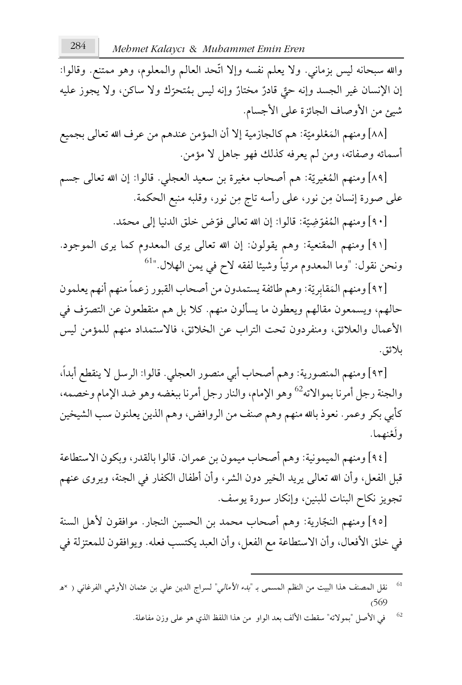والله سبحانه ليس بزماني. ولا يعلم نفسه وإلا اتَّحد العالم والمعلوم، وهو ممتنع. وقالوا: إن الإنسان غير الجسد وإنه حيٌّ قادرٌ مختارٌ وإنه ليس بمُتحرِّك ولا ساكن، ولا يجوز عليه .<br>نم **ُ** ٌ ٌ ƭ شيئ من الأوصاف الجائزة على الأجسام.

[٨٨] ومنهم المَعْلوميّة: هم كالجازمية إلا أن المؤمن عندهم من عرف الله تعالى بجميع .<br>ا ْ  $\ddot{\phantom{0}}$ أسمائه وصفاته، ومن لم يعرفه كذلك فهو جاهل لا مؤمن.

[٨٩] ومنهم المُغيريّة: هم أصحاب مغيرة بن سعيد العجلي. قالوا: إن الله تعالى جسم **:** ُ على صورة إنسان مِن نور، على رأسه تاج مِن نور، وقلبه منبع الحكمة.

> [٩٠] ومنهم المُفوِّضِيّة: قالوا: إن الله تعالى فوِّض خلق الدنيا إلى محمّد. ؛ .<br>ا ؛<br>ا ُ **<sup>** $\overline{a}$ **</sup>**

[٩١] ومنهم المقنعية: وهم يقولون: إن الله تعالى يرى المعدوم كما يرى الموجود.  $^{61}$ ".ونحن نقول: "وما المعدوم مرئياً وشيئا لفقه لاح في يمن الهلال."

[٩٢] ومنهم المَقابِريّة: وهم طائفة يستمدون من أصحاب القبور زعما منهم أنهم يعلمون **: ´** حالهم، ويسمعون مقالهم ويعطون ما يسألون منهم. كلا بل هم منقطعون عن التصرّف في .<br>. الأعمال والعلائق، ومنفردون تحت التراب عن الخلائق، فالاستمداد منهم للمؤمن ليس ىلائق.

[٩٣] ومنهم المنصورية: وهم أصحاب أبي منصور العجلي. قالوا: الرسل لا ينقطع أبدا، والجنة رجل أمرنا بموالاته<sup>62</sup> وهو الإمام، والنار رجل أمرنا ببغضه وهو ضد الإمام وخصمه، كأبي بكر وعمر . نعوذ بالله منهم وهم صنف من الروافض، وهم الذين يعلنون سب الشيخين ولغنهما. ْ

[٩٤] ومنهم الميمونية: وهم أصحاب ميمون بن عمران. قالوا بالقدر، وبكون الاستطاعة قبل الفعل، وأن الله تعالى يريد الخير دون الشر، وأن أطفال الكفار في الجنة، ويروى عنهم تجويز نكاح البنات للبنين، وإنكار سورة يوسف.

[٩٥] ومنهم النجّارية: وهم أصحاب محمد بن الحسين النجار. موافقون لأهل السنة י في خلق الأفعال، وأن الاستطاعة مع الفعل، وأن العبد يكتسب فعله. ويوافقون للمعتزلة في

<sup>62</sup> .ÙĥĐÓęĨ وزن ĵĥĐ ijİ يñĤا ċęĥĤا اñİ īĨ اوijĤا ïđÖ ėĤŶا Ûĉĝø "įÜźijĩÖ" ģĀŶا ĹĘ

<sup>61</sup> نقل المصنف هذا البيت من النظم المسمى بـ "*بدء الأمالى*" لسراج الدين على بن عثمان الأوشى الفرغاني ( ×هـ (569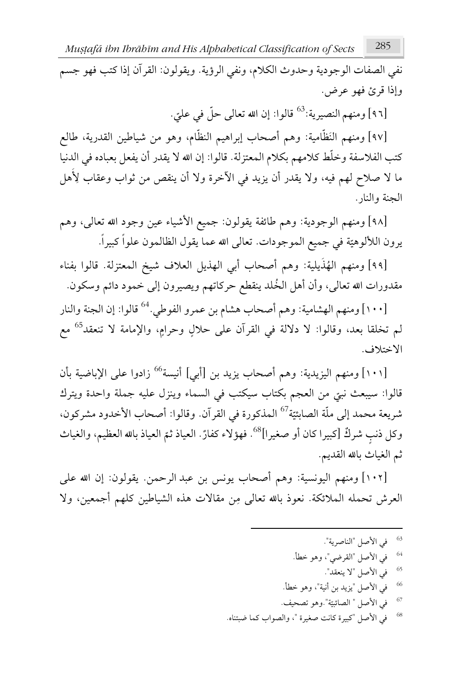*Muṣṭafá ibn Ibrāhīm and His Alphabetical Classification of Sects* 285

نفي الصفات الوجودية وحدوث الكلام، ونفي الرؤية. ويقولون: القرآن إذا كتب فهو جسم وإذا قرئ فهو عرض.

> [٩٦] ومنهم النصيرية:<sup>63</sup> قالوا: إن الله تعالى حلّ في عليّ. ֖֖֖֖ׅ֖֖֧֚֚֚֚֚֚֚֚֚֚֡֡֡֡֡֡֬֬<u>֚</u>

[٩٧] ومنهم النَظامية: وهم أصحاب إبراهيم النظام، وهو من شياطين القدرية، طالع <u>:</u> كتب الفلاسفة وخلط كلامهم بكلام المعتزلة. قالوا: إن الله لا يقدر أن يفعل بعباده في الدنيا ما لا صلاح لهم فيه، ولا يقدر أن يزيد في الآخرة ولا أن ينقص من ثواب وعقاب لِأهل الجنة والنار .

[٩٨] ومنهم الوجودية: وهم طائفة يقولون: جميع الأشياء عين وجود الله تعالى، وهم يرون اللألوهيّة في جميع الموجودات. تعالى الله عما يقول الظالمون علوا كبيرا. .<br>ا

[٩٩] ومنهم الهُذيلية: وهم أصحاب أبي الهذيل العلاف شيخ المعتزلة. قالوا بفناء ُ مقدورات الله تعالى، وأن أهل الخُلد ينقطع حركاتهم ويصيرون إلى خمود دائم وسكون.

[١٠٠] ومنهم الهشامية: وهم أصحاب هشام بن عمرو الفوطي.<sup>64</sup> قالوا: إن الجنة والنار لم تخلقا بعد، وقالوا: لا دلالة في القرآن على حلالٍ وحرامٍ، والإمامة لا تنعقد<sup>65</sup> مع الاختلاف.

[١٠١] ومنهم اليزيدية: وهم أصحاب يزيد بن [أبي] أنيسة<sup>66</sup> زادوا على الإباضية بأن قالوا: سيبعث نبيّ من العجم بكتاب سيكتب في السماء وينزل عليه جملة واحدة ويترك Ĭ. شريعة محمد إلى ملّة الصابئيّة<sup>67</sup> المذكورة في القرآن. وقالوا: أصحاب الأخدود مشركون، .<br>ا وكل ذنبٍ شركٌ [كبيرا كان أو صغيرا]<sup>68</sup>. فهؤلاء كفارٌ. العياذ ثمّ العياذ بالله العظيم، والغياث **'** ٌ ثم الغياث بالله القديم.

[١٠٢] ومنهم اليونسية: وهم أصحاب يونس بن عبد الرحمن. يقولون: إن الله على العرش تحمله الملائكة. نعوذ بالله تعالى مِن مقالات هذه الشياطين كلهم أجمعين، ولا

> <sup>63</sup> في الأصل "الناصرية". 64 في الأصل "القرضي"، وهو خطأ. <sup>65</sup> في الأصل "لا ينعقد". في الأصل "يزيد بن أنية"، وهو خطأ.  $^{66}$ <sup>67</sup> في الأصل " الصائبيّة".وهو تصحيف. Ĭ. <sup>68</sup> في الأصل "كبيرة كانت صغيرة "، والصواب كما ضبتناه.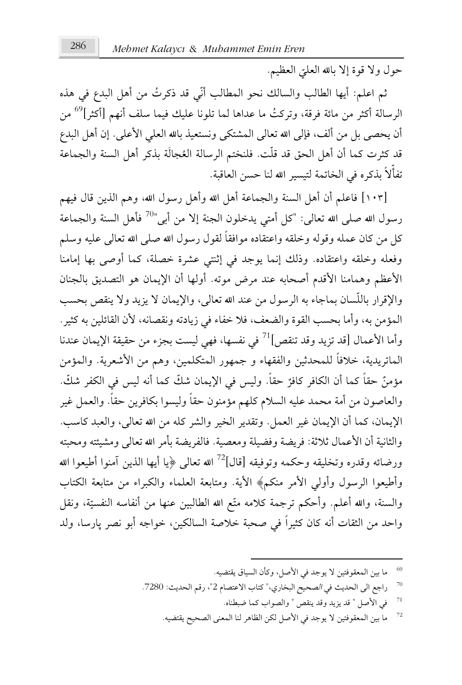حول ولا قوة إلا بالله العلتي العظيم. Ĭ.

ثم اعلم: أيها الطالب والسالك نحو المطالب أنّي قد ذكرتُ من أهل البدع في هذه .<br>ا الرسالة أكثر من مائة فرقة، وتركتُ ما عداها لما تلونا عليك فيما سلف أنهم [أكثر]<sup>69</sup> من أن يحصى بل من ألف، فإلى الله تعالى المشتكى ونستعيذ بالله العلى الأعلى. إن أهل البدع قد كثرت كما أن أهل الحق قد قلت. فلنختم الرسالة العُجالة بذكر أهل السنة والجماعة ُ تفألاً بذكره في الخاتمة لتيسير الله لنا حسن العاقبة.

[١٠٣] فاعلم أن أهل السنة والجماعة أهل الله وأهل رسول الله، وهم الذين قال فيهم رسول الله صلى الله تعالى: "كل أمتى يدخلون الجنة إلا من أبي"<sup>70</sup> فأهل السنة والجماعة كل من كان عمله وقوله وخلقه واعتقاده موافقاً لقول رسول الله صلى الله تعالى عليه وسلم وفعله وخلقه واعتقاده. وذلك إنما يوجد في إثنتي عشرة خصلة، كما أوصى بها إمامنا الأعظم وهمامنا الأقدم أصحابه عند مرض موته. أولها أن الإيمان هو التصديق بالجنان والإقرار باللَّسان بماجاء به الرسول من عند الله تعالى، والإيمان لا يزيد ولا ينقص بحسب المؤمن به، وأما بحسب القوة والضعف، فلا خفاء في زيادته ونقصانه، لأن القائلين به كثير . وأما الأعمال [قد تزيد وقد تنقص]<sup>71</sup> في نفسها، فهي ليست بجزء من حقيقة الإيمان عندنا آلماتريدية، خلافاً للمحدثين والفقهاء و جمهور المتكلمين، وهم من الأشعرية. والمؤمن مؤمنٌ حقاً كما أن الكافر كافرٌ حقاً. وليس في الإيمان شكَّ كما أنه ليس في الكفر شكَّ. ٌ ٌ والعاصون من أمة محمد عليه السلام كلهم مؤمنون حقاً وليسوا بكافرين حقاً. والعمل غير الإيمان، كما أن الإيمان غير العمل. وتقدير الخير والشر كله من الله تعالى، والعبد كاسب. والثانية أن الأعمال ثلاثة: فريضة وفضيلة ومعصية. فالفريضة بأمر الله تعالى ومشيئته ومحبته ورضائه وقدره وتخليقه وحكمه وتوفيقه [قال]<sup>72</sup> الله تعالى ﴿يا أيها الذين آمنوا أطيعوا الله وأطيعوا الرسول وأولى الأمر منكم﴾ الأية. ومتابعة العلماء والكبراء من متابعة الكتاب والسنة، والله أعلـم. وأحكـم ترجمة كلامه متّع الله الطالبين عنها من أنفاسه النفسيّة، ونقل ∶' واحد من الثقات أنه كان كثيرا في صحبة خلاصة السالكين، خواجه أبو نصر پارسا، ولد

- 70 راجع الى الحديث في الصحيح البخاري،" كتاب الاعتصام 2"، رقم الحديث: 7280.
	- قي الأصل " قد يزيد وقد ينقص " والصواب كما ضبطناه. "
	- 72 ما بين المعقوفتين لا يوجد في الأصل لكن الظاهر لنا المعنى الصحيح يقتضيه.

ما بين المعقوفتين لا يوجد في الأصل، وكأن السياق يقتضيه.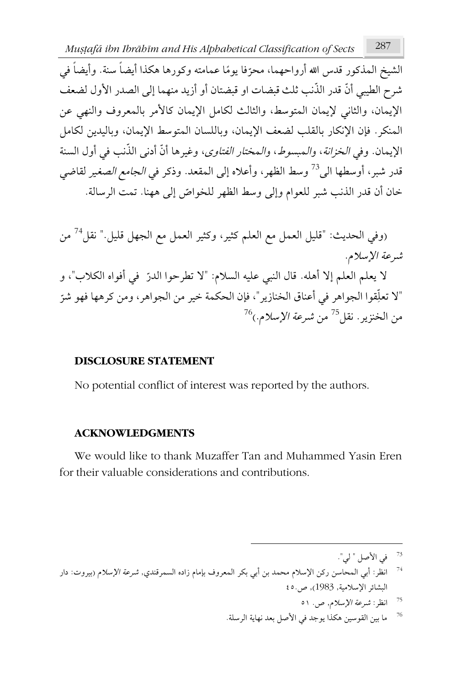الشيخ الـمذكور قدس الله أرواحهما، محرّفا يومًا عمامته وكورها هكذا أيضا سنة. وأيضا في .<br>. شرح الطيبي أنّ قدر الذّنب ثلث قبضات او قبضتان أو أزيد منهما إلى الصدر الأول لضعف الإيمان، والثاني لإيمان المتوسط، والثالث لكامل الإيمان كالأمر بالمعروف والنهي عن المنكر . فإن الإنكار بالقلب لضعف الإيمان، وباللسان المتوسط الإيمان، وباليدين لكامل الإيمان. وفي *الخزانة*، *والمبسوط، والمختار الفتاوى*، وغيرها أنّ أدنى الذّنب في أول السنة قدر شبر، أوسطها ال<sub>م</sub><sup>73</sup> وسط الظهر، وأعلاه إلى المقعد. وذكر ف*ي الجامع الصغير* لقاضي خان أن قدر الذنب شبر للعوام وإلى وسط الظهر للخواصّ إلى ههنا. تمت الرسالة. **ٔ** 

(وفي الحديث: "قليل العمل مع العلم كثير، وكثير العمل مع الجهل قليل." نقل<sup>74</sup> من شيرعة الإسلام. لا يعلم العلم إلا أهله. قال النبي عليه السلام: "لا تطرحوا الدرّ في أفواه الكلاب"، و "لا تعلِّقوا الجواهر في أعناق الخنازير"، فإن الحكمة خير من الجواهر، ومن كرهها فهو شرّ .<br>. من الخنزير. نقل<sup>75</sup> من *شرعة الإسلام*.)<sup>76</sup>

### **DISCLOSURE STATEMENT**

No potential conflict of interest was reported by the authors.

#### **ACKNOWLEDGMENTS**

We would like to thank Muzaffer Tan and Muhammed Yasin Eren for their valuable considerations and contributions.

- قى الأصل " لي".  $^{73}$
- انظر: أبي المحاسن ركن الإسلام محمد بن أبي بكر المعروف بإمام زاده السمرقندي, *شرعة الإسلام* (بيروت: دار البشائر الإسلامية, 1983), ص.٥٠
	- <sup>75</sup> انظر: شر*عة الإسلام*, ص. ٥١
	- ما بين القوسين هكذا يوجد في الأصل بعد نهاية الرسلة.  $^{\rm 76}$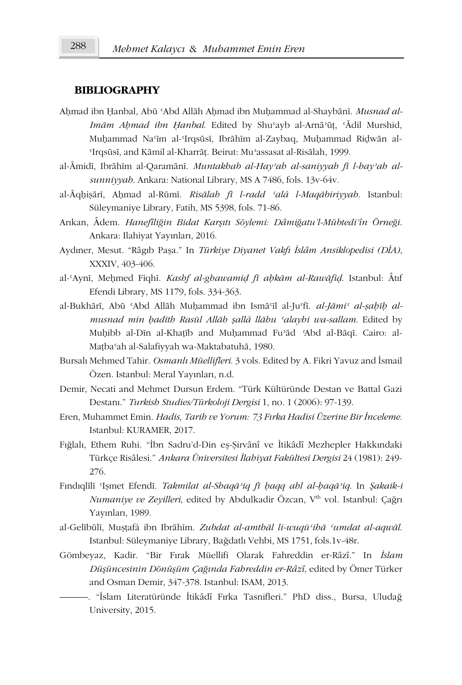#### **BIBLIOGRAPHY**

- Aḥmad ibn Ḥanbal, Abū ʿAbd Allāh Aḥmad ibn Muḥammad al-Shaybānī. *Musnad al-Imām Aḥmad ibn Ḥanbal*. Edited by Shuʿayb al-Arnāʾūṭ, ʿĀdil Murshid, Muḥammad Naʿīm al-ʿIrqsūsī, Ibrāhīm al-Zaybaq, Muḥammad Riḍwān al-ʿIrqsūsī, and Kāmil al-Kharrāṭ. Beirut: Muʾassasat al-Risālah, 1999.
- al-Āmidī, Ibrāhīm al-Qaramānī. *Muntakhab al-Hayʾah al-saniyyah fī l-hayʾah alsunniyyah*. Ankara: National Library, MS A 7486, fols. 13v-64v.
- al-Āqḥiṣārī, Aḥmad al-Rūmī. *Risālah fī l-radd ʿalá l-Maqābiriyyah*. Istanbul: Süleymaniye Library, Fatih, MS 5398, fols. 71-86.
- Arıkan, Âdem. *Hanefîliğin Bidat Karşıtı Söylemi: Dâmiğatu'l-Mübtedi'în Örneği*. Ankara: Ilahiyat Yayınları, 2016.
- Aydıner, Mesut. "Râgıb Paşa." In *Türkiye Diyanet Vakfı İslâm Ansiklopedisi (DİA)*, XXXIV, 403-406.
- al-ʿAynī, Meḥmed Fiqhī. *Kashf al-ghawamiḍ fī aḥkām al-Rawāfiḍ*. Istanbul: Âtıf Efendi Library, MS 1179, fols. 334-363.
- al-Bukhārī, Abū ʿAbd Allāh Muḥammad ibn Ismāʿīl al-Juʿfī. *al-Jāmiʿ al-ṣaḥīḥ almusnad min ḥadīth Rasūl Allāh ṣallá llāhu ʿalayhi wa-sallam*. Edited by Muḥibb al-Dīn al-Khaṭīb and Muḥammad Fuʾād *ʿ*Abd al-Bāqī. Cairo: al-Maṭbaʿah al-Salafiyyah wa-Maktabatuhā, 1980.
- Bursalı Mehmed Tahir. *Osmanlı Müellifleri*. 3 vols. Edited by A. Fikri Yavuz and İsmail Özen. Istanbul: Meral Yayınları, n.d.
- Demir, Necati and Mehmet Dursun Erdem. "Türk Kültüründe Destan ve Battal Gazi Destanı." *Turkish Studies/Türkoloji Dergisi* 1, no. 1 (2006): 97-139.
- Eren, Muhammet Emin. *Hadis, Tarih ve Yorum: 73 Fırka Hadisi Üzerine Bir İnceleme*. Istanbul: KURAMER, 2017.
- Fığlalı, Ethem Ruhi. "İbn Sadru'd-Din eş-Şirvânî ve İtikâdî Mezhepler Hakkındaki Türkçe Risâlesi." *Ankara Üniversitesi İlahiyat Fakültesi Dergisi* 24 (1981): 249- 276.
- Fındıqlīlī ʿIṣmet Efendī. *Takmilat al-Shaqāʾiq fī ḥaqq ahl al-ḥaqāʾiq*. In *Şakaik-i Numaniye ve Zeyilleri*, edited by Abdulkadir Özcan, V<sup>th</sup> vol. Istanbul: Çağrı Yayınları, 1989.
- al-Gelībūlī, Muṣṭafá ibn Ibrāhīm. *Zubdat al-amthāl li-wuqūʿihā ʿumdat al-aqwāl*. Istanbul: Süleymaniye Library, Bağdatlı Vehbi, MS 1751, fols.1v-48r.
- Gömbeyaz, Kadir. "Bir Fırak Müellifi Olarak Fahreddin er-Râzî." In *İslam Düşüncesinin Dönüşüm Çağında Fahreddin er-Râzî*, edited by Ömer Türker and Osman Demir, 347-378. Istanbul: ISAM, 2013.
	- ———. "İslam Literatüründe İtikâdî Fırka Tasnifleri." PhD diss., Bursa, Uludağ University, 2015.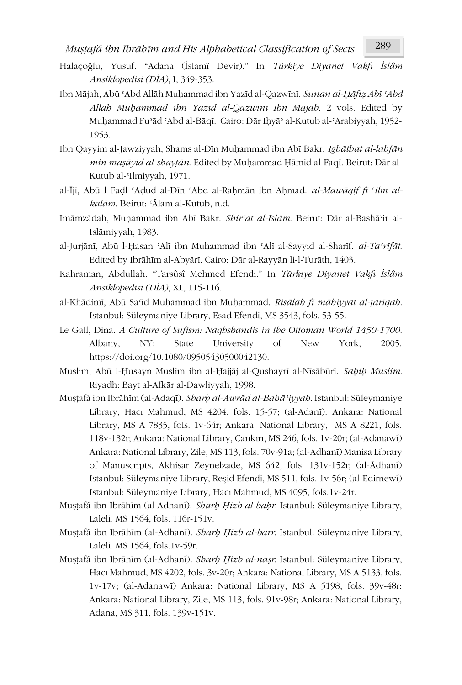- Halaçoğlu, Yusuf. "Adana (İslamî Devir)." In *Türkiye Diyanet Vakfı İslâm Ansiklopedisi (DİA)*, I, 349-353.
- Ibn Mājah, Abū ʿAbd Allāh Muḥammad ibn Yazīd al-Qazwīnī. *Sunan al-Ḥāfiẓ Abī ʿAbd Allāh Muḥammad ibn Yazīd al-Qazwīnī Ibn Mājah*. 2 vols. Edited by Muḥammad Fuʾād ʿAbd al-Bāqī. Cairo: Dār Iḥyāʾ al-Kutub al-ʿArabiyyah, 1952- 1953.
- Ibn Qayyim al-Jawziyyah, Shams al-Dīn Muḥammad ibn Abī Bakr. *Ighāthat al-lahfān min maṣāyid al-shayṭān*. Edited by Muḥammad Ḥāmid al-Faqī. Beirut: Dār al-Kutub al-ʿIlmiyyah, 1971.
- al-Ījī, Abū l Faḍl ʿAḍud al-Dīn ʿAbd al-Raḥmān ibn Aḥmad. *al-Mawāqif fī* ʿ*ilm alkalām*. Beirut: ʿĀlam al-Kutub, n.d.
- Imāmzādah, Muḥammad ibn Abī Bakr. *Shirʿat al-Islām*. Beirut: Dār al-Bashāʾir al-Islāmiyyah, 1983.
- al-Jurjānī, Abū l-Ḥasan ʿAlī ibn Muḥammad ibn ʿAlī al-Sayyid al-Sharīf. *al-Taʿrīfāt*. Edited by Ibrāhīm al-Abyārī. Cairo: Dār al-Rayyān li-l-Turāth, 1403.
- Kahraman, Abdullah. "Tarsûsî Mehmed Efendi." In *Türkiye Diyanet Vakfı İslâm Ansiklopedisi (DİA)*, XL, 115-116.
- al-Khādimī, Abū Saʿīd Muḥammad ibn Muḥammad. *Risālah fī māhiyyat al-ṭarīqah*. Istanbul: Süleymaniye Library, Esad Efendi, MS 3543, fols. 53-55.
- Le Gall, Dina. *A Culture of Sufism: Naqhsbandis in the Ottoman World 1450-1700*. Albany, NY: State University of New York, 2005. https://doi.org/10.1080/09505430500042130.
- Muslim, Abū l-Ḥusayn Muslim ibn al-Ḥajjāj al-Qushayrī al-Nīsābūrī. *Ṣaḥīḥ Muslim*. Riyadh: Bayt al-Afkār al-Dawliyyah, 1998.
- Muṣṭafá ibn Ibrāhīm (al-Adaqī). *Sharḥ al-Awrād al-Bahāʾiyyah*. Istanbul: Süleymaniye Library, Hacı Mahmud, MS 4204, fols. 15-57; (al-Adanī). Ankara: National Library, MS A 7835, fols. 1v-64r; Ankara: National Library, MS A 8221, fols. 118v-132r; Ankara: National Library, Çankırı, MS 246, fols. 1v-20r; (al-Adanawī) Ankara: National Library, Zile, MS 113, fols. 70v-91a; (al-Adhanī) Manisa Library of Manuscripts, Akhisar Zeynelzade, MS 642, fols. 131v-152r; (al-Ādhanī) Istanbul: Süleymaniye Library, Reşid Efendi, MS 511, fols. 1v-56r; (al-Edirnewī) Istanbul: Süleymaniye Library, Hacı Mahmud, MS 4095, fols.1v-24r.
- Muṣṭafá ibn Ibrāhīm (al-Adhanī). *Sharḥ Ḥizb al-baḥr*. Istanbul: Süleymaniye Library, Laleli, MS 1564, fols. 116r-151v.
- Muṣṭafá ibn Ibrāhīm (al-Adhanī). *Sharḥ Ḥizb al-barr*. Istanbul: Süleymaniye Library, Laleli, MS 1564, fols.1v-59r.
- Muṣṭafá ibn Ibrāhīm (al-Adhanī). *Sharḥ Ḥizb al-naṣr*. Istanbul: Süleymaniye Library, Hacı Mahmud, MS 4202, fols. 3v-20r; Ankara: National Library, MS A 5133, fols. 1v-17v; (al-Adanawī) Ankara: National Library, MS A 5198, fols. 39v-48r; Ankara: National Library, Zile, MS 113, fols. 91v-98r; Ankara: National Library, Adana, MS 311, fols. 139v-151v.